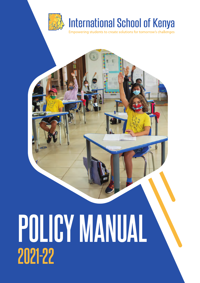

# **International School of Kenya**

Empowering students to create solutions for tomorrow's challenges



# **POLICY MANUAL 2021-22**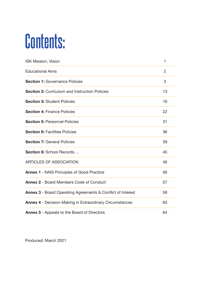# **Contents:**

| <b>ISK Mission, Vision</b>                                         | 1              |
|--------------------------------------------------------------------|----------------|
| <b>Educational Aims</b>                                            | $\overline{2}$ |
| <b>Section 1: Governance Policies</b>                              | 3              |
| <b>Section 2: Curriculum and Instruction Policies</b>              | 13             |
| <b>Section 3: Student Policies</b>                                 | 16             |
| <b>Section 4: Finance Policies</b>                                 | 22             |
| <b>Section 5: Personnel Policies</b>                               | 31             |
| <b>Section 6: Facilities Policies</b>                              | 36             |
| <b>Section 7: General Policies</b>                                 | 39             |
| <b>Section 8: School Records</b>                                   | 45             |
| <b>ARTICLES OF ASSOCIATION</b>                                     | 46             |
| Annex 1 - NAIS Principles of Good Practice                         | 56             |
| <b>Annex 2 - Board Members Code of Conduct</b>                     | 57             |
| <b>Annex 3</b> - Board Operating Agreements & Conflict of Interest | 58             |
| <b>Annex 4</b> - Decision-Making in Extraordinary Circumstances    | 63             |
| <b>Annex 5</b> - Appeals to the Board of Directors                 | 64             |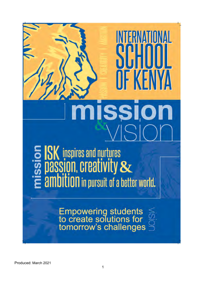<span id="page-2-0"></span>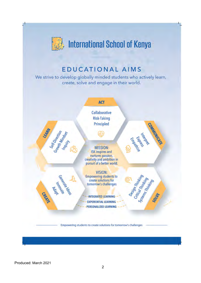<span id="page-3-0"></span>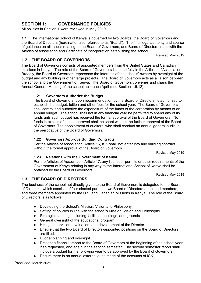# <span id="page-4-0"></span>**SECTION 1: GOVERNANCE POLICIES**

All policies in Section 1 were reviewed in May 2019

**1.1** The International School of Kenya is governed by two Boards: the Board of Governors and the Board of Directors (hereinafter also referred to as "Board"). The final legal authority and source of guidance on all issues relating to the Board of Governors, and Board of Directors, rests with the Articles of Association and Certificate of Incorporation establishing the school.

Revised May 2019

# **1.2 THE BOARD OF GOVERNORS**

The Board of Governors consists of appointed members from the United States and Canadian missions in Kenya. The role of the Board of Governors is stated fully in the Articles of Association. Broadly, the Board of Governors represents the interests of the schools' owners by oversight of the budget and any building or other large projects. The Board of Governors acts as a liaison between the school and the Government of Kenya. The Board of Governors convenes and chairs the Annual General Meeting of the school held each April (see Section 1.6.12).

# **1.21 Governors Authorize the Budget**

The Board of Governors, upon recommendation by the Board of Directors, is authorized to establish the budget, tuition and other fees for the school year. The Board of Governors shall control and authorize the expenditure of the funds of the corporation by means of an annual budget. The school shall not in any financial year be permitted to spend any of its funds until such budget has received the formal approval of the Board of Governors. No funds in excess of those approved shall be spent without the further approval of the Board of Governors. The appointment of auditors, who shall conduct an annual general audit, is the prerogative of the Board of Governors.

# **1.22 Governors Approve Building Contracts**

Per the Articles of Association, Article 16, ISK shall not enter into any building contract without the formal approval of the Board of Governors.

Revised May 2019

# **1.23 Relations with the Government of Kenya**

Per the Articles of Association, Article 17, any licenses, permits or other requirements of the Government of Kenya relating in any way to the International School of Kenya shall be obtained by the Board of Governors.

Revised May 2019

# **1.3 THE BOARD OF DIRECTORS**

The business of the school not directly given to the Board of Governors is delegated to the Board of Directors, which consists of four elected parents, two Board of Directors-appointed members, and three members appointed by the U.S. and Canadian Missions in Kenya. The role of the Board of Directors is as follows:

- Developing the School's Mission, Vision and Philosophy.
- Setting of policies in line with the school's Mission, Vision and Philosophy.
- Strategic planning, including facilities, buildings, and grounds.
- General oversight of the educational program.
- Hiring, supervision, evaluation, and development of the Director.
- Ensure that the two Board of Directors-appointed positions on the Board of Directors are filled.
- Budget planning and oversight.
- Present a financial report to the Board of Governors at the beginning of the school year, if so requested, and again in the second semester. The second semester report shall include a budget for the following year to be approved by the Board of Governors.
- Ensure there is an annual external audit made of the accounts of ISK.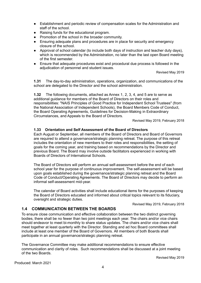- Establishment and periodic review of compensation scales for the Administration and staff of the school.
- Raising funds for the educational program.
- Promotion of the school in the broader community.
- Ensuring adequate plans and procedures are in place for security and emergency closure of the school.
- Approval of school calendar (to include both days of instruction and teacher duty days), which is recommended by the Administration, no later than the last open Board meeting of the first semester.
- Ensure that adequate procedures exist and procedural due process is followed in the adjudication of personnel and student issues.

Revised May 2019

**1.31** The day-to-day administration, operations, organization, and communications of the school are delegated to the Director and the school administration.

**1.32** The following documents, attached as Annex 1, 2, 3, 4, and 5 are to serve as additional guidance for members of the Board of Directors on their roles and responsibilities: "NAIS Principles of Good Practice for Independent School Trustees" (from the National Association of Independent Schools), the Board Members Code of Conduct, the Board Operating Agreements, Guidelines for Decision-Making in Extraordinary Circumstances, and Appeals to the Board of Directors.

Revised May 2019, February 2018

#### **1.33 Orientation and Self Assessment of the Board of Directors**

Each August or September, all members of the Board of Directors and Board of Governors are required to attend a governance/strategic planning retreat. The purpose of this retreat includes the orientation of new members to their roles and responsibilities, the setting of goals for the coming year, and training based on recommendations by the Director and previous Board. The Board may involve outside facilitators experienced in working with Boards of Directors of International Schools.

The Board of Directors will perform an annual self-assessment before the end of each school year for the purpose of continuous improvement. The self-assessment will be based upon goals established during the governance/strategic planning retreat and the Board Code of Conduct/Operating Agreements. The Board of Directors may decide to perform an informal self-assessment mid-year.

The calendar of Board activities shall include educational items for the purposes of keeping the Board of Directors educated and informed about critical topics relevant to its fiduciary, oversight and strategic duties.

Revised May 2019, February 2018

# **1.4 COMMUNICATION BETWEEN THE BOARDS**

To ensure close communication and effective collaboration between the two distinct governing bodies, there shall be no fewer than two joint meetings each year. The chairs and/or vice chairs should endeavor to meet bi-monthly to share status updates. The chairs and/or vice chairs shall meet together at least quarterly with the Director. Standing and ad hoc Board committees shall include at least one member of the Board of Governors. All members of both Boards shall participate in an annual governance/strategic planning retreat.

The Governance Committee may make additional recommendations to ensure effective communication and clarity of roles. Such recommendations shall be discussed at a joint meeting of the two Boards.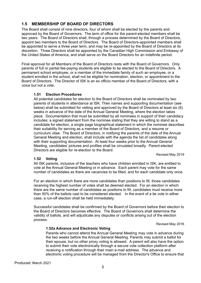# **1.5 MEMBERSHIP OF BOARD OF DIRECTORS**

The Board shall consist of nine directors, four of whom shall be elected by the parents and approved by the Board of Governors. The term of office for the parent-elected members shall be two years. The Board of Directors shall, through a process determined by the Board of Directors, appoint two members to the Board of Directors. The Board of Directors-appointed members shall be appointed to serve a three year term, and may be re-appointed by the Board of Directors at its discretion. Three Directors shall be appointed by the Canadian High Commission and Embassy of the United States of America, and shall serve on the Board Directors for an indefinite period.

Final approval for all Members of the Board of Directors rests with the Board of Governors. Only parents of full or partial fee-paying students are eligible to be elected to the Board of Directors. A permanent school employee, or a member of the immediate family of such an employee, or a student enrolled in the school, shall not be eligible for nomination, election, or appointment to the Board of Directors. The Director of ISK is an ex officio member of the Board of Directors, with a voice but not a vote.

#### **1.51 Election Procedures**

All potential candidates for election to the Board of Directors shall be nominated by two parents of students in attendance at ISK. Their names and supporting documentation (see below) shall be submitted for vetting and approved by the Board of Directors at least six (6) weeks in advance of the date of the Annual General Meeting, where the election takes place. Documentation that must be submitted by all nominees in support of their candidacy includes: a signed statement from the nominee stating that they are willing to stand as a candidate for election, a single page biographical statement in which the nominee describes their suitability for serving as a member of the Board of Directors, and a resume or curriculum vitae. The Board of Directors, in notifying the parents of the date of the Annual General Meeting and election, shall include with the agenda the list of candidates along with their supporting documentation. At least four weeks prior to the Annual General Meeting, candidates' pictures and profiles shall be circulated broadly. Parent-elected Directors are eligible for re-election to the Board.

Revised May 2019

# **1.52 Voting**

All ISK parents, inclusive of the teachers who have children enrolled in ISK, are entitled to vote at the Annual General Meeting or in advance. Each parent may vote for the same number of candidates as there are vacancies to be filled, and for each candidate only once.

For an election in which there are more candidates than positions to fill, those candidates receiving the highest number of votes shall be deemed elected. For an election in which there are the same number of candidates as positions to fill, candidates must receive more than 50% of the ballots cast to be considered elected. In the event of a tie vote in either case, a run-off election shall be held immediately.

Successful candidates shall be confirmed by the Board of Governors before their election to the Board of Directors becomes effective. The Board of Governors shall determine the validity of ballots, and will adjudicate any disputes or conflicts arising out of the election process.

Revised May 2016

# **1.52a Advance and Electronic Voting**

Parents who cannot attend the Annual General Meeting may vote in advance during the two weeks before the Annual General Meeting. Parents may submit a ballot for their spouse, but no other proxy voting is allowed. A parent will also have the option to submit their vote electronically through a secure vote collection platform after receiving a notification through their main e-mail address. The advance and electronic voting procedure will be managed from the Director's Office to ensure that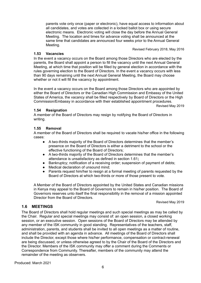parents vote only once (paper or electronic), have equal access to information about all candidates, and votes are collected in a locked ballot box or using secure electronic means. Electronic voting will close the day before the Annual General Meeting. The location and times for advance voting shall be announced at the same time that candidates are announced four weeks prior to the Annual General Meeting.

Revised February 2018, May 2016

#### **1.53 Vacancies**

In the event a vacancy occurs on the Board among those Directors who are elected by the parents, the Board shall appoint a person to fill the vacancy until the next Annual General Meeting, at which time that position will be filled by general election in accordance with the rules governing election to the Board of Directors. In the event a vacancy occurs with less than 90 days remaining until the next Annual General Meeting, the Board may choose whether or not it will fill the vacancy by appointment.

In the event a vacancy occurs on the Board among those Directors who are appointed by either the Board of Directors or the Canadian High Commission and Embassy of the United States of America, the vacancy shall be filled respectively by Board of Directors or the High Commission/Embassy in accordance with their established appointment procedures.

Revised May 2019

#### **1.54 Resignation**

A member of the Board of Directors may resign by notifying the Board of Directors in writing.

#### **1.55 Removal**

A member of the Board of Directors shall be required to vacate his/her office in the following cases:

- A two-thirds majority of the Board of Directors determines that the member's presence on the Board of Directors is either a detriment to the school or the effective functioning of the Board of Directors;
- **●** A two-thirds majority of the Board of Directors determines that the member's attendance is unsatisfactory as defined in section 1.61**;**
- Bankruptcy; notification of a receiving order; suspension of payment of debts;
- Medical declaration of unsound mind;
- Parents request him/her to resign at a formal meeting of parents requested by the Board of Directors at which two-thirds or more of those present to vote.

A Member of the Board of Directors appointed by the United States and Canadian missions in Kenya may appeal to the Board of Governors to remain in his/her position. The Board of Governors reserves unto itself the final responsibility in the removal of a mission appointed Director from the Board of Directors.

#### Revised May 2019

# **1.6 MEETINGS**

The Board of Directors shall hold regular meetings and such special meetings as may be called by the Chair. Regular and special meetings may consist of: an open session, a closed working session, or an executive session. Open sessions of the Board of Directors may be attended by any member of the ISK community in good standing. Representatives of the teachers, staff, administration, parents, and students shall be invited to all open meetings as a matter of routine, and shall be provided with an agenda in advance. All meetings of the Board of Directors shall include the Director, except those where his/her performance, compensation or contract-renewal are being discussed, or unless otherwise agreed to by the Chair of the Board of the Directors and the Director. Members of the ISK community may offer a comment during the Comments or Correspondence from Community. Thereafter, members of the community may attend the remainder of the meeting as observers.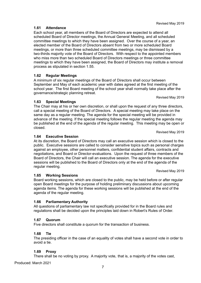**1.61 Attendance**

Each school year, all members of the Board of Directors are expected to attend all scheduled Board of Director meetings, the Annual General Meeting, and all scheduled committee meetings to which they have been assigned. Over the course of a year, an elected member of the Board of Directors absent from two or more scheduled Board meetings, or more than three scheduled committee meetings, may be dismissed by a two-thirds majority vote of the Board of Directors. With respect to the appointed members who miss more than two scheduled Board of Directors meetings or three committee meetings to which they have been assigned, the Board of Directors may institute a removal process as stipulated in section 1.55.

#### **1.62 Regular Meetings**

A minimum of six regular meetings of the Board of Directors shall occur between September and May of each academic year with dates agreed at the first meeting of the school year. The first Board meeting of the school year shall normally take place after the governance/strategic planning retreat.

Revised May 2019

#### **1.63 Special Meetings**

The Chair may at his or her own discretion, or shall upon the request of any three directors, call a special meeting of the Board of Directors. A special meeting may take place on the same day as a regular meeting. The agenda for the special meeting will be provided in advance of the meeting. If the special meeting follows the regular meeting the agenda may be published at the end of the agenda of the regular meeting. This meeting may be open or closed.

Revised May 2019

#### **1.64 Executive Session**

At its discretion, the Board of Directors may call an executive session which is closed to the public. Executive sessions are called to consider sensitive topics such as personal charges against an employee, other personnel matters, confidential student affairs, contracts and negotiations, and Board or Director-evaluations. Upon the request of three members of the Board of Directors, the Chair will call an executive session. The agenda for the executive sessions will be published to the Board of Directors only at the end of the agenda of the regular meeting.

Revised May 2019

#### **1.65 Working Sessions**

Board working sessions, which are closed to the public, may be held before or after regular open Board meetings for the purpose of holding preliminary discussions about upcoming agenda items. The agenda for these working sessions will be published at the end of the agenda of the regular meeting.

#### **1.66 Parliamentary Authority**

All questions of parliamentary law not specifically provided for in the Board rules and regulations shall be decided upon the principles laid down in Robert's Rules of Order.

#### **1.67 Quorum**

Five directors shall constitute a quorum for the transaction of business.

#### **1.68 Tie**

The presiding officer in the case of an equality of votes shall have a second vote in order to avoid a tie.

#### **1.69 Proxy**

There shall be no voting by proxy. A majority vote, that is, a majority of the votes cast,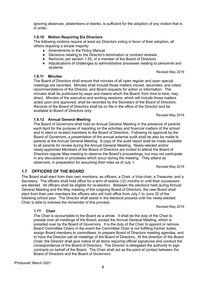ignoring absences, abstentions or blanks, is sufficient for the adoption of any motion that is in order**.**

#### **1.6.10 Motion Requiring Six Directors**

The following motions require at least six Directors voting in favor of their adoption, all others requiring a simple majority:

- Amendments to the Policy Manual.
- Decisions relating to the Director's termination or contract renewal.
- Removal, per section 1.55, of a member of the Board of Directors.
- Adjudications of challenges to administrative processes relating to personnel and students.

#### **1.6.11 Minutes**

The Board of Directors shall ensure that minutes of all open regular and open special meetings are recorded. Minutes shall include those matters moved, seconded, and voted, recommendations of the Director, and Board requests for action or information. The minutes shall be publicized by ways and means which the Board, from time to time, may direct. Minutes of the executive and working sessions, which will include those matters acted upon and approved, shall be recorded by the Secretary of the Board of Directors. Records of the Board of Directors shall be on file in the office of the Director and be available to Board of Directors only.

**1.6.12 Annual General Meeting**

The Board of Governors shall hold an Annual General Meeting in the presence of parents each April for the purpose of reporting on the activities and financial matters of the school and to elect or re-elect members to the Board of Directors. Following its approval by the Board of Governors, a presentation of the annual external audit shall be also be made to parents at the Annual General Meeting. A copy of the audit report shall be made available to all parents for review during the Annual General Meeting. Newly-elected and/or newly-appointed Members of the Board of Directors are invited to attend the Board of Directors regular May meeting to observe the Board's proceedings, but may not participate in any discussions or processes which occur during the meeting. They attend as observers, in preparation for assuming their roles as of July 1.

Revised May 2019

# **1.7 OFFICERS OF THE BOARD**

The Board shall elect from their own members, as officers, a Chair, a Vice-chair, a Treasurer, and a Secretary. The officers shall hold office for a term of twelve (12) months or until their successors are elected. All officers shall be eligible for re-election. Between the elections held during Annual General Meeting and the May meeting of the outgoing Board of Directors, the new Board shall elect from their own members the officers who will hold office from July 1 to June 30 of the following school year. The Director shall assist in the electoral process until the newly-elected Chair is able to oversee the remainder of this process.

Revised May 2019

#### **1.71 Chair**

The Chair is accountable to the Board as a whole. It shall be the duty of the Chair to preside over all meetings of the Board, except the Annual General Meeting, which is presided over by the Board of Governors. It is the duty of the Chair to appoint or remove Board Committee Chairs in the event the Committee Chair is not fulfilling his/her duties, assign Board members to committees, to prepare Board of Directors meeting agendas, and to have the Director call all meetings of the Board of Directors. At the direction of the Board Chair, the Director shall give notice of all items requiring official signatures and conduct the correspondence of the Board of Directors. The Director is delegated the authority to sign contracts on behalf of the Board. The Chair shall act as the point of contact between the Board of Directors and the Board of Governors.

Revised May 2019

Revised May 2019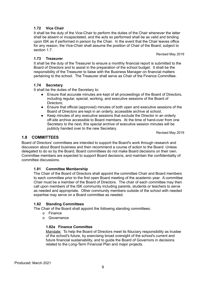# **1.72 Vice Chair**

It shall be the duty of the Vice-Chair to perform the duties of the Chair whenever the latter shall be absent or incapacitated, and the acts so performed shall be as valid and binding upon ISK as if performed in person by the Chair. In the event that the Chair leaves office for any reason, the Vice-Chair shall assume the position of Chair of the Board, subject to section 1.7.

Revised May 2019

#### **1.73 Treasurer**

It shall be the duty of the Treasurer to ensure a monthly financial report is submitted to the Board of Directors and to assist in the preparation of the school budget. It shall be the responsibility of the Treasurer to liaise with the Business Manager on financial matters pertaining to the school. The Treasurer shall serve as Chair of the Finance Committee.

#### **1.74 Secretary**

It shall be the duties of the Secretary to:

- Ensure that accurate minutes are kept of all proceedings of the Board of Directors, including regular, special, working, and executive sessions of the Board of Directors;
- Ensure that official (approved) minutes of both open and executive sessions of the Board of Directors are kept in an orderly, accessible archive at school.
- Keep minutes of any executive sessions that exclude the Director in an orderly off-site archive accessible to Board members. At the time of hand-over from one Secretary to the next, this special archive of executive session minutes will be publicly handed over to the new Secretary.

Revised May 2019

# **1.8 COMMITTEES**

Board of Directors' committees are intended to support the Board's work through research and discussion about Board business and then recommend a course of action to the Board. Unless delegated to do so by the Board, Board committees do not make Board decisions on their own. Committee members are expected to support Board decisions, and maintain the confidentiality of committee discussions.

#### **1.81 Committee Membership**

The Chair of the Board of Directors shall appoint the committee Chair and Board members to each committee prior to the first open Board meeting of the academic year. A committee Chair must be a member of the Board of Directors. The chair of each committee may then call upon members of the ISK community including parents, students or teachers to serve as needed and appropriate. Other community members outside of the school with needed expertise may serve on a Board committee as needed.

#### **1.82 Standing Committees**

The Chair of the Board shall appoint the following standing committees:

- o Finance
- o Governance

#### **1.82a Finance Committee**

Mandate: To help the Board of Directors meet its fiduciary responsibility as trustee of the school's future, by exercising broad oversight of the school's current and future financial sustainability, and to guide the Board of Governors in decisions related to the Long-Term Financial Plan and major projects.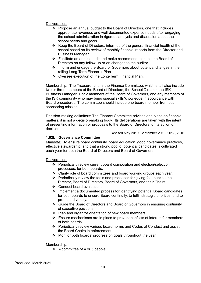Deliverables:

- ❖ Propose an annual budget to the Board of Directors, one that includes appropriate revenues and well-documented expense needs after engaging the school administration in rigorous analysis and discussion about the school needs and goals.
- ❖ Keep the Board of Directors, informed of the general financial health of the school based on its review of monthly financial reports from the Director and Business Manager.
- ❖ Facilitate an annual audit and make recommendations to the Board of Directors on any follow-up or on changes to the auditor.
- ❖ Inform and engage the Board of Governors about potential changes in the rolling Long-Term Financial Plan.
- ❖ Oversee execution of the Long-Term Financial Plan.

Membership: The Treasurer chairs the Finance Committee, which shall also include two or three members of the Board of Directors, the School Director, the ISK Business Manager, 1 or 2 members of the Board of Governors, and any members of the ISK community who may bring special skills/knowledge in accordance with Board procedures. The committee should include one board member from each sponsoring mission.

Decision-making delimiters: The Finance Committee advises and plans on financial matters, it is not a decision-making body. Its deliberations are taken with the intent of presenting information or proposals to the Board of Directors for its action or decision.

Revised May 2019, September 2018, 2017, 2016

#### **1.82b Governance Committee**

Mandate: To ensure board continuity, board education, good governance practices, effective stewardship, and that a strong pool of potential candidates is cultivated each year for both the Board of Directors and Board of Governors.

Deliverables:

- ❖ Periodically review current board composition and election/selection processes, for both boards.
- ❖ Clarify role of board committees and board working groups each year.
- ❖ Periodically review the tools and processes for giving feedback to the Director, Board of Directors, Board of Governors, and their Chairs.
- ❖ Conduct board evaluations.
- ❖ Implement a documented process for identifying potential Board candidates for both boards to ensure Board continuity, to fulfill strategic priorities, and to promote diversity.
- ❖ Guide the Board of Directors and Board of Governors in ensuring continuity of executive positions.
- ❖ Plan and organize orientation of new board members.
- ❖ Ensure mechanisms are in place to prevent conflicts of interest for members of both boards.
- ❖ Periodically review various board norms and Codes of Conduct and assist the Board Chairs in enforcement.
- ❖ Monitor both boards' progress on goals throughout the year.

#### Membership:

❖ A committee of 4 or 5 people.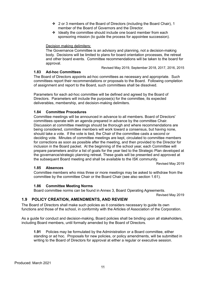- ❖ 2 or 3 members of the Board of Directors (including the Board Chair), 1 member of the Board of Governors and the Director.
- ❖ Ideally the committee should include one board member from each sponsoring mission (to guide the process for appointee succession).

#### Decision making delimiters:

The Governance Committee is an advisory and planning, not a decision-making body. Decisions will be limited to plans for board orientation processes, the retreat and other board events. Committee recommendations will be taken to the board for approval.

Revised May 2019, September 2018, 2017, 2016, 2015

# **1.83 Ad-hoc Committees**

The Board of Directors appoints ad-hoc committees as necessary and appropriate. Such committees report their recommendations or proposals to the Board. Following completion of assignment and report to the Board, such committees shall be dissolved.

Parameters for each ad-hoc committee will be defined and agreed by the Board of Directors. Parameters will include the purpose(s) for the committee, its expected deliverables, membership, and decision-making delimiters.

#### **1.84 Committee Procedures**

Committee meetings will be announced in advance to all members. Board of Directors' committees operate with an agenda prepared in advance by the committee Chair. Discussion at committee meetings should be thorough and where recommendations are being considered, committee members will work toward a consensus, but having none, should take a vote. If the vote is tied, the Chair of the committee casts a second or deciding vote. Minutes of committee meetings are kept, circulated to committee members for corrections as soon as possible after the meeting, and then provided to the Director for inclusion in the Board packet. At the beginning of the school year, each Committee will prepare parameters and/or a list of goals for the year tied to the Strategic Plan developed at the governance/strategic planning retreat. These goals will be presented and approved at the subsequent Board meeting and shall be available to the ISK community.

Revised May 2019

#### **1.85 Absences**

Committee members who miss three or more meetings may be asked to withdraw from the committee by the committee Chair or the Board Chair (see also section 1.61).

#### **1.86 Committee Meeting Norms**

Board committee norms can be found in Annex 3, Board Operating Agreements.

Revised May 2019

#### **1.9 POLICY CREATION, AMENDMENTS, AND REVIEW**

The Board of Directors shall make such policies as it considers necessary to guide its own functions and those of the school, in conformity with the Articles of Association of the Corporation.

As a guide for conduct and decision-making, Board policies shall be binding upon all stakeholders, including Board members, until formally amended by the Board of Directors.

**1.91** Policies may be formulated by the Administration or a Board committee, either standing or ad hoc. Proposals for new policies, or policy amendments, will be submitted in writing to the Board of Directors for approval at either a regular or executive session.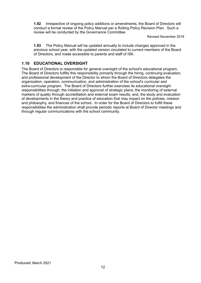**1.92** Irrespective of ongoing policy additions or amendments, the Board of Directors will conduct a formal review of the Policy Manual per a Rolling Policy Revision Plan. Such a review will be conducted by the Governance Committee.

Revised November 2018

**1.93** The Policy Manual will be updated annually to include changes approved in the previous school year, with the updated version circulated to current members of the Board of Directors, and made accessible to parents and staff of ISK.

# **1.10 EDUCATIONAL OVERSIGHT**

The Board of Directors is responsible for general oversight of the school's educational program. The Board of Directors fulfills this responsibility primarily through the hiring, continuing evaluation, and professional development of the Director to whom the Board of Directors delegates the organization, operation, communication, and administration of the school's curricular and extra-curricular program. The Board of Directors further exercises its educational oversight responsibilities through: the initiation and approval of strategic plans; the monitoring of external markers of quality through accreditation and external exam results; and, the study and evaluation of developments in the theory and practice of education that may impact on the policies, mission and philosophy, and finances of the school. In order for the Board of Directors to fulfill these responsibilities the administration shall provide periodic reports at Board of Director meetings and through regular communications with the school community.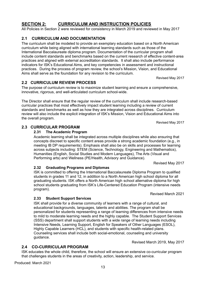# Produced: March 2021

guidance.

# **2.4 CO-CURRICULAR PROGRAM**

ISK educates the whole child, therefore, the school will ensure an extensive co-curricular program that challenges students in the areas of creativity, action, leadership, and service.

13

ISK shall provide for a diverse community of learners with a range of cultural, and educational backgrounds, languages, talents and abilities. The program shall be

Highly Capable Learners (HCL), and students with specific health-related plans. Counseling services shall include both social-emotional, counseling and university

# <span id="page-14-0"></span>**SECTION 2: CURRICULUM AND INSTRUCTION POLICIES**

All Policies in Section 2 were reviewed for consistency in March 2019 and reviewed in May 2017

# **2.1 CURRICULUM AND DOCUMENTATION**

The curriculum shall be modeled to provide an exemplary education based on a North American curriculum while being aligned with international learning standards such as those of the International Baccalaureate diploma program. Documentation of the curricular program shall include content standards and benchmarks based on the current research of effective content-area practices and aligned with external accreditation standards. It shall also include performance indicators for ISK's Educational Aims, and key competencies in assessment and instructional practices. During the process of program review, the school's Mission, Vision, and Educational Aims shall serve as the foundation for any revision to the curriculum.

Revised May 2017

# **2.2 CURRICULUM REVIEW PROCESS**

The purpose of curriculum review is to maximize student learning and ensure a comprehensive, innovative, rigorous, and well-articulated curriculum school-wide.

The Director shall ensure that the regular review of the curriculum shall include research-based curricular practices that most effectively impact student learning including a review of current standards and benchmarks as well as how they are integrated across disciplines. Curriculum review will also include the explicit integration of ISK's Mission, Vision and Educational Aims into the overall program.

Revised May 2017

# **2.3 CURRICULAR PROGRAM**

# **2.31 The Academic Program**

**2.33 Student Support Services**

Academic learning shall be integrated across multiple disciplines while also ensuring that concepts discreet to specific content areas provide a strong academic foundation (e.g., in meeting IB DP requirements). Emphasis shall also be on skills and processes for learning across subjects including: STEM (Science, Technology, Engineering and Mathematics), Humanities (English, Social Studies and Modern Languages), The Arts (Visual and Performing arts) and Wellness (PE/Health, Advisory and Guidance).

Revised May 2017

# **2.32 Graduating Programs and Diplomas**

ISK is committed to offering the International Baccalaureate Diploma Program to qualified students in grades 11 and 12, in addition to a North American high school diploma for all graduating students. ISK offers a North American high school alternative diploma for high school students graduating from ISK's Life-Centered Education Program (intensive needs program).

personalized for students representing a range of learning differences from intensive needs to mild to moderate learning needs and the highly capable. The Student Support Services (SSS) department shall support students with a wide range of learning needs including Intensive Needs, Learning Support, English for Speakers of Other Languages (ESOL),

Revised March 2021

Revised March 2019, May 2017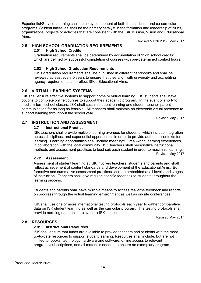Experiential/Service Learning shall be a key component of both the curricular and co-curricular programs. Student initiatives shall be the primary catalyst in the formation and leadership of clubs, organizations, projects or activities that are consistent with the ISK Mission, Vision and Educational Aims.

Revised March 2019, May 2017

# **2.5 HIGH SCHOOL GRADUATION REQUIREMENTS**

#### **2.51 High School Credits**

Graduation requirements shall be determined by accumulation of "high school credits" which are defined by successful completion of courses with pre-determined contact hours.

#### **2.52 High School Graduation Requirements**

ISK's graduation requirements shall be published in different handbooks and shall be reviewed at least every 5 years to ensure that they align with university and accrediting agency requirements, and reflect ISK's Educational Aims.

# **2.6 VIRTUAL LEARNING SYSTEMS**

ISK shall ensure effective systems to support home or virtual learning. HS students shall have options to complete online courses to support their academic program. In the event of short- to medium-term school closure, ISK shall sustain student learning and student-teacher-parent communication for as long as feasible. All teachers shall maintain an electronic virtual presence to support learning throughout the school year.

Revised May 2017

# **2.7 INSTRUCTION AND ASSESSMENT**

#### **2.71 Instructional Practice**

ISK teachers shall provide multiple learning avenues for students, which include integration across disciplines, and experiential opportunities in order to provide authentic contexts for learning. Learning opportunities shall include meaningful, real-world learning experiences in collaboration with the local community. ISK teachers shall personalize instructional methods and assessment practices to best suit each student in order to maximize learning. Revised May 2017

#### **2.72 Assessment**

Assessment of student learning at ISK involves teachers, students and parents and shall reflect achievement of content standards and development of the Educational Aims. Both formative and summative assessment practices shall be embedded at all levels and stages of instruction. Teachers shall give regular, specific feedback to students throughout the learning process.

Students and parents shall have multiple means to access real-time feedback and reports on progress through the virtual learning environment as well as on-site conferences.

ISK shall use one or more international testing protocols each year to gather comparative data on ISK student learning as well as the curricular program. The testing protocols shall provide norming data that is relevant to ISK's population.

Revised May 2017

# **2.8 RESOURCES**

# **2.81 Instructional Resources**

ISK shall ensure that funds are available to provide teachers and students with the most up-to-date resources to support student learning. Resources shall include, but are not limited to, books, technology hardware and software, online access to relevant programs/subscriptions, and all materials needed to ensure an exemplary program.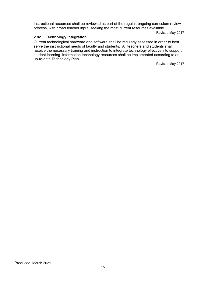Produced: March 2021

Instructional resources shall be reviewed as part of the regular, ongoing curriculum review process, with broad teacher input, seeking the most current resources available.

Revised May 2017

# **2.82 Technology Integration**

Current technological hardware and software shall be regularly assessed in order to best serve the instructional needs of faculty and students. All teachers and students shall receive the necessary training and instruction to integrate technology effectively to support student learning. Information technology resources shall be implemented according to an up-to-date Technology Plan.

Revised May 2017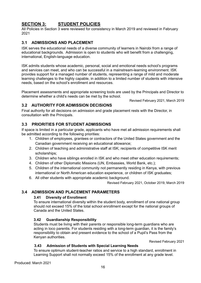# <span id="page-17-0"></span>**SECTION 3: STUDENT POLICIES**

All Policies in Section 3 were reviewed for consistency in March 2019 and reviewed in February 2021

# **3.1 ADMISSIONS AND PLACEMENT**

ISK serves the educational needs of a diverse community of learners in Nairobi from a range of educational backgrounds. Admission is open to students who will benefit from a challenging, international, English-language education.

ISK admits students whose academic, personal, social and emotional needs school's programs and services can meet, and who can be successful in a mainstream-learning environment. ISK provides support for a managed number of students, representing a range of mild and moderate learning challenges to the highly capable, in addition to a limited number of students with intensive needs, based on the school's enrollment and resources.

Placement assessments and appropriate screening tools are used by the Principals and Director to determine whether a child's needs can be met by the school.

Revised February 2021, March 2019

# **3.2 AUTHORITY FOR ADMISSION DECISIONS**

Final authority for all decisions on admission and grade placement rests with the Director, in consultation with the Principals.

# **3.3 PRIORITIES FOR STUDENT ADMISSIONS**

If space is limited in a particular grade, applicants who have met all admission requirements shall be admitted according to the following priorities:

- 1. Children of employees, grantees or contractors of the United States government and the Canadian government receiving an educational allowance;
- 2. Children of teaching and administrative staff at ISK; recipients of competitive ISK merit scholarships;
- 3. Children who have siblings enrolled in ISK and who meet other education requirements;
- 4. Children of other Diplomatic Missions (UN, Embassies, World Bank, etc.);
- 5. Children of the international community not permanently residing in Kenya, with previous international or North American education experience, or children of ISK graduates;
- 6. All other students with appropriate academic background.

Revised February 2021, October 2019, March 2019

# **3.4 ADMISSION AND PLACEMENT PARAMETERS**

#### **3.41 Diversity of Enrollment**

To ensure international diversity within the student body, enrollment of one national group should not exceed 15% of the total school enrollment except for the national groups of Canada and the United States.

# **3.42 Guardianship Responsibility**

Students must be living with their parents or responsible long-term guardians who are acting in loco parentis. For students residing with a long-term guardian, it is the family's responsibility to obtain and present evidence to the school of a Pupil's Pass from the Kenyan authorities.

Revised February 2021

#### **3.43 Admission of Students with Special Learning Needs**

To ensure optimum student-teacher ratios and service to a high standard, enrollment in Learning Support shall not normally exceed 15% of the enrollment at any grade level.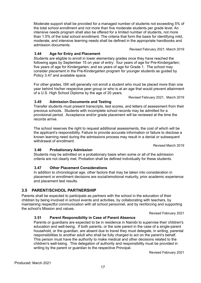Moderate support shall be provided for a managed number of students not exceeding 5% of the total school enrollment and not more than five moderate students per grade level. An intensive needs program shall also be offered for a limited number of students, not more than 1.5% of the total school enrollment. The criteria that form the basis for identifying mild, moderate, and intensive learning needs shall be defined in the appropriate handbooks and admission documents*.*

Revised February 2021, March 2019

# **3.44 Age for Entry and Placement**

Students are eligible to enroll in lower elementary grades once they have reached the following ages by September 15 on year of entry: four years of age for Pre-Kindergarten; five years of age for Kindergarten; and six years of age for Grade 1. The school may consider placement in the Pre-Kindergarten program for younger students as guided by Policy 3.47 and available space.

For other grades, ISK will generally not enroll a student who must be placed more than one year behind his/her respective peer group or who is at an age that would prevent attainment of a U.S. High School Diploma by the age of 20 years.

Revised February 2021, March 2019

# **3.45 Admission Documents and Testing**

Transfer students must present transcripts, test scores, and letters of assessment from their previous schools. Students with incomplete school records may be admitted for a provisional period. Acceptance and/or grade placement will be reviewed at the time the records arrive.

The school reserves the right to request additional assessments, the cost of which will be the applicant's responsibility. Failure to provide accurate information or failure to disclose a known learning need during the admissions process may result in a denial or subsequent withdrawal of enrollment.

Revised March 2019

# **3.46 Probationary Admission**

Students may be admitted on a probationary basis when some or all of the admission criteria are not clearly met. Probation shall be defined individually for these students.

# **3.47 Other Placement Considerations**

In addition to chronological age, other factors that may be taken into consideration in placement or enrollment decisions are social/emotional maturity, prior academic experience and placement test results.

# **3.5 PARENT/SCHOOL PARTNERSHIP**

Parents shall be expected to participate as partners with the school in the education of their children by being involved in school events and activities, by collaborating with teachers, by maintaining respectful communication with all school personnel, and by reinforcing and supporting the school's Mission and values.

Revised February 2021

# **3.51 Parent Responsibility in Case of Parent Absence**

Parents or guardians are expected to be in residence in Nairobi to supervise their children's education and well-being. If both parents, or the sole parent in the case of a single-parent household, or the guardian, are absent due to travel they must delegate, in writing, parental responsibilities to another adult who shall be fully charged to act on the parent's behalf. This person must have the authority to make medical and other decisions related to the children's well-being. This delegation of authority and responsibility must be provided in writing by the parent or guardian to the respective Principal.

Revised February 2021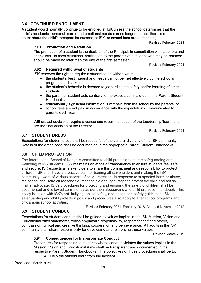# Produced: March 2021

18

# **3.6 CONTINUED ENROLLMENT**

A student would normally continue to be enrolled at ISK unless the school determines that the child's academic, personal, social and emotional needs can no longer be met, there is reasonable doubt about the child's prospect for success at ISK, or school fees are outstanding.

Revised February 2021

#### **3.61 Promotion and Retention**

The promotion of a student is the decision of the Principal, in consultation with teachers and specialists. In most situations, notification to the parents of a student who may be retained should be made no later than the end of the first semester.

Revised February 2021

#### **3.62 Required withdrawal of students**

ISK reserves the right to require a student to be withdrawn if:

- the student's best interest and needs cannot be met effectively by the school's programs and services
- the student's behavior is deemed to jeopardize the safety and/or learning of other students
- the parent or student acts contrary to the expectations laid out in the Parent Student Handbooks.
- educationally significant information is withheld from the school by the parents, or
- school fees are not paid in accordance with the expectations communicated to parents each year.

Withdrawal decisions require a consensus recommendation of the Leadership Team, and are the final decision of the Director.

Revised February 2021

# **3.7 STUDENT DRESS**

Expectations for student dress shall be respectful of the cultural diversity of the ISK community. Details of the dress code shall be documented in the appropriate Parent Student Handbooks.

# **3.8 CHILD PROTECTION**

The International School of Kenya is committed to child protection and the safeguarding and wellbeing of ISK students. ISK maintains an ethos of transparency to ensure students feel safe and secure. ISK expects all stakeholders to share this commitment and responsibility to protect children. ISK shall have a proactive plan for training all stakeholders and making the ISK community aware of various aspects of child protection. In response to suspected harm or abuse, the school shall take all reasonable, responsible and legal steps to protect the child and act as his/her advocate. ISK's procedures for protecting and ensuring the safety of children shall be documented and followed consistently as per the safeguarding and child protection handbook. This policy is linked with ISK's anti-bullying, online safety, and health and safety guidelines. ISK safeguarding and child protection policy and procedures also apply to after school programs and off-campus school activities.

Revised February 2021, February 2018, Adopted November 2012

# **3.9 STUDENT CONDUCT**

Expectations for student conduct shall be guided by values implicit in the ISK Mission, Vision and Educational Aims statements, which emphasize responsibility, respect for self and others, compassion, critical and creative thinking, cooperation and perseverance. All adults in the ISK community shall share responsibility for developing and reinforcing these values.

Revised March 2019

# **3.91 Consequences for Inappropriate Conduct**

Procedures for responding to students whose conduct violates the values implicit in the Mission, Vision and Educational Aims shall be transparent and documented in the respective Parent Student Handbooks. The objectives of those procedures shall be to:

Help the student learn from the incident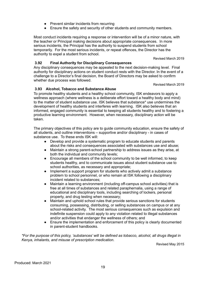- Prevent similar incidents from recurring
- Ensure the safety and security of other students and community members.

Most conduct incidents requiring a response or intervention will be of a minor nature, with the teacher or Principal making decisions about appropriate consequences. In more serious incidents, the Principal has the authority to suspend students from school temporarily. For the most serious incidents, or repeat offences, the Director has the authority to expel a student from school.

Revised March 2019

# **3.92 Final Authority for Disciplinary Consequences**

Any disciplinary consequences may be appealed to the next decision-making level. Final authority for disciplinary actions on student conduct rests with the Director. In the event of a challenge to a Director's final decision, the Board of Directors may be asked to confirm whether due process was followed.

Revised March 2019

#### **3.93 Alcohol, Tobacco and Substance Abuse**

To promote healthy students and a healthy school community, ISK endeavors to apply a wellness approach (where wellness is a deliberate effort toward a healthy body and mind) to the matter of student substance use. ISK believes that substance\* use undermines the development of healthy students and interferes with learning. ISK also believes that an informed, engaged community is essential to keeping all students healthy and to fostering a productive learning environment. However, when necessary, disciplinary action will be taken.

The primary objectives of this policy are to guide community education, ensure the safety of all students, and outline interventions – supportive and/or disciplinary - in cases of substance use. To these ends ISK will:

- Develop and provide a systematic program to educate students and parents about the risks and consequences associated with substances use and abuse;
- Maintain a strong parent-school partnership to address issues as they arise, at both the individual and community levels;
- Encourage all members of the school community to be well informed, to keep students healthy, and to communicate issues about student substance use to school authorities, as necessary and appropriate;
- Implement a support program for students who actively admit a substance problem to school personnel, or who remain at ISK following a disciplinary incident related to substances;
- Maintain a learning environment (including off-campus school activities) that is free at all times of substances and related paraphernalia, using a range of educational and disciplinary tools, including searching of lockers, personal property, and drug testing when necessary;
- Maintain and uphold school rules that provide serious sanctions for students consuming, possessing, distributing, or selling substances on campus or at any school-related activity. The most serious consequences such as expulsion and indefinite suspension could apply to any violation related to illegal substances and/or activities that endanger the wellness of others; and
- Ensure the implementation and enforcement of this policy is clearly documented in parent-student handbooks.

*\*For the purpose of this policy, 'substances' will be defined as tobacco, alcohol, all drugs illegal in Kenya, inhalants, and misuse of prescription medication.*

Revised May 2015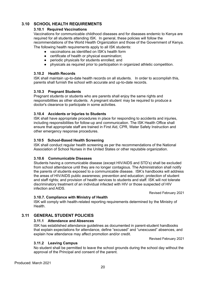# **3.10 SCHOOL HEALTH REQUIREMENTS**

#### **3.10.1 Required Vaccinations**

Vaccinations for communicable childhood diseases and for diseases endemic to Kenya are required for all students attending ISK. In general, these policies will follow the recommendations of the World Health Organization and those of the Government of Kenya. The following health requirements apply to all ISK students:

- vaccinations as identified on ISK's health form
- certificate of health or physical examination;
- periodic physicals for students enrolled; and
- physicals as required prior to participation in organized athletic competition.

#### **3.10.2 Health Records**

ISK shall maintain up-to-date health records on all students. In order to accomplish this, parents shall furnish the school with accurate and up-to-date records.

#### **3.10.3 Pregnant Students**

Pregnant students or students who are parents shall enjoy the same rights and responsibilities as other students. A pregnant student may be required to produce a doctor's clearance to participate in some activities.

#### **3.10.4 Accidents or Injuries to Students**

ISK shall have appropriate procedures in place for responding to accidents and injuries, including responsibilities for follow-up and communication. The ISK Health Office shall ensure that appropriate staff are trained in First Aid, CPR, Water Safety Instruction and other emergency response procedures.

#### **3.10**.**5 School-Based Health Screening**

ISK shall conduct regular health screening as per the recommendations of the National Association of School Nurses in the United States or other reputable organization.

#### **3.10.6 Communicable Diseases**

Students having a communicable disease (except HIV/AIDS and STD's) shall be excluded from school attendance until they are no longer contagious. The Administration shall notify the parents of students exposed to a communicable disease. ISK's handbooks will address the areas of HIV/AIDS public awareness; prevention and education; protection of student and staff rights; and provision of health services to students and staff. ISK will not tolerate discriminatory treatment of an individual infected with HIV or those suspected of HIV infection and AIDS.

Revised February 2021

# **3.10.7. Compliance with Ministry of Health**

ISK will comply with health-related reporting requirements determined by the Ministry of Health.

# **3.11 GENERAL STUDENT POLICIES**

#### **3.11.1 Attendance and Absences**

ISK has established attendance guidelines as documented in parent-student handbooks that explain expectations for attendance, define "excused" and "unexcused" absences, and explain how attendance may affect promotion and/or credit.

Revised February 2021

#### **3.11.2 Leaving Campus**

No student shall be permitted to leave the school grounds during the school day without the approval of the Principal and consent of the parent.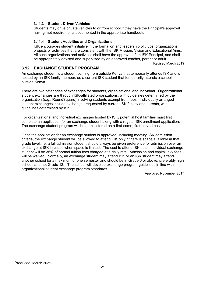#### **3.11.3 Student Driven Vehicles**

Students may drive private vehicles to or from school if they have the Principal's approval having met requirements documented in the appropriate handbook.

#### **3.11.4 Student Activities and Organizations**

ISK encourages student initiative in the formation and leadership of clubs, organizations, projects or activities that are consistent with the ISK Mission, Vision and Educational Aims. All such organizations and activities shall have the approval of an ISK Principal, and shall be appropriately advised and supervised by an approved teacher, parent or adult.

Revised March 2019

# **3.12 EXCHANGE STUDENT PROGRAM**

An exchange student is a student coming from outside Kenya that temporarily attends ISK and is hosted by an ISK family member, or, a current ISK student that temporarily attends a school outside Kenya.

There are two categories of exchanges for students, organizational and individual. Organizational student exchanges are through ISK-affiliated organizations, with guidelines determined by the organization (e.g., RoundSquare) involving students exempt from fees. Individually arranged student exchanges include exchanges requested by current ISK faculty and parents, with guidelines determined by ISK.

For organizational and individual exchanges hosted by ISK, potential host families must first complete an application for an exchange student along with a regular ISK enrollment application. The exchange student program will be administered on a first-come, first-served basis.

Once the application for an exchange student is approved, including meeting ISK admission criteria, the exchange student will be allowed to attend ISK only if there is space available in that grade level, i.e. a full admission student should always be given preference for admission over an exchange at ISK in cases when space is limited. The cost to attend ISK as an individual exchange student will be 35% of normal tuition fees charged at a daily rate. Admission and capital levy fees will be waived. Normally, an exchange student may attend ISK or an ISK student may attend another school for a maximum of one semester and should be in Grade 6 or above, preferably high school, and not Grade 12. The school will develop exchange program guidelines in line with organizational student exchange program standards.

Approved November 2017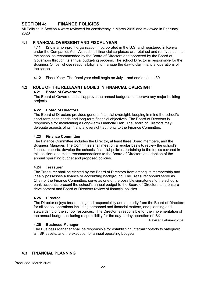# <span id="page-23-0"></span>**SECTION 4: FINANCE POLICIES**

All Policies in Section 4 were reviewed for consistency in March 2019 and reviewed in February 2020

# **4.1 FINANCIAL OVERSIGHT AND FISCAL YEAR**

**4.11** ISK is a non-profit organization incorporated in the U.S. and registered in Kenya under the Companies Act. As such, all financial surpluses are retained and re-invested into the school as recommended by the Board of Directors and approved by the Board of Governors through its annual budgeting process. The school Director is responsible for the Business Office, whose responsibility is to manage the day-to-day financial operations of the school.

**4.12** Fiscal Year: The fiscal year shall begin on July 1 and end on June 30.

# **4.2 ROLE OF THE RELEVANT BODIES IN FINANCIAL OVERSIGHT 4.21 Board of Governors**

The Board of Governors shall approve the annual budget and approve any major building projects.

#### **4.22 Board of Directors**

The Board of Directors provides general financial oversight, keeping in mind the school's short-term cash needs and long-term financial objectives. The Board of Directors is responsible for maintaining a Long-Term Financial Plan. The Board of Directors may delegate aspects of its financial oversight authority to the Finance Committee.

#### **4.23 Finance Committee**

The Finance Committee includes the Director, at least three Board members, and the Business Manager. The Committee shall meet on a regular basis to review the school's financial reports, develop the schools' financial policies pertaining to the topics covered in this section, and make recommendations to the Board of Directors on adoption of the annual operating budget and proposed policies.

#### **4.24 Treasurer**

The Treasurer shall be elected by the Board of Directors from among its membership and ideally possesses a finance or accounting background. The Treasurer should serve as Chair of the Finance Committee; serve as one of the possible signatories to the school's bank accounts; present the school's annual budget to the Board of Directors; and ensure development and Board of Directors review of financial policies.

#### **4.25 Director**

The Director enjoys broad delegated responsibility and authority from the Board of Directors for all school operations including personnel and financial matters, and planning and stewardship of the school resources. The Director is responsible for the implementation of the annual budget, including responsibility for the day-to-day operation of ISK.

Revised February 2020

#### **4.26 Business Manager**

The Business Manager shall be responsible for establishing internal controls to safeguard all ISK assets, and the execution of annual operating budgets.

# **4.3 FINANCIAL PLANNING**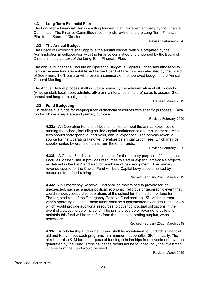# **4.31 Long-Term Financial Plan**

The Long-Term Financial Plan is a rolling ten-year plan, reviewed annually by the Finance Committee. The Finance Committee recommends revisions to the Long-Term Financial Plan to the Board of Directors.

Revised February 2020

# **4.32 The Annual Budget**

The Board of Governors shall approve the annual budget, which is prepared by the Administration in collaboration with the Finance committee and endorsed by the Board of Directors in the context of the Long-Term Financial Plan.

The annual budget shall include an Operating Budget, a Capital Budget, and allocation to various reserve funds as established by the Board of Directors. As delegated by the Board of Governors, the Treasurer will present a summary of the approved budget at the Annual General Meeting.

The Annual Budget process shall include a review by the administration of all contracts (whether staff, local labor, administrative or maintenance in nature) so as to assess ISK's annual and long-term obligations.

Revised March 2019

#### **4.33 Fund Budgeting**

ISK defines five funds for keeping track of financial resources with specific purposes. Each fund will have a separate and primary purpose.

Revised February 2020

**4.33a** An Operating Fund shall be maintained to meet the annual expenses of running the school, including routine capital maintenance and replacement. Annual fees should correspond to, and meet, annual expenses. The primary revenue source for the Operating Fund will therefore be annual tuition fees, which may be supplemented by grants or loans from the other funds.

Revised February 2020

**4.33b** A Capital Fund shall be maintained for the primary purpose of funding the Facilities Master Plan. It provides resources to start or expand large-scale projects as defined in the FMP, and also for purchase of new equipment. The primary revenue source for the Capital Fund will be a Capital Levy, supplemented by resources from fund-raising.

Revised February 2020, March 2019

**4.33c** An Emergency Reserve Fund shall be maintained to provide for the unexpected, such as a major political, economic, religious or geographic event that could seriously jeopardize operations of the school for the medium or long term. The targeted size of the Emergency Reserve Fund shall be 15% of the current year's operating budget. These funds shall be supplemented by an insurance policy which would provide additional resources to cover contractual obligations in the event of a *force majeure* incident. The primary source of revenue to build and maintain this fund will be transfers from the annual operating surplus, when necessary.

Revised February 2020, March 2019

**4.33d** A Scholarship Endowment Fund shall be maintained to fund ISK's financial aid and Kenyan outreach programs in a manner that benefits ISK financially. The aim is to raise \$1M for the purpose of funding scholarships from investment revenue generated by the Fund. Principal capital would not be touched; only the investment income from the Fund would be used.

Revised March 2019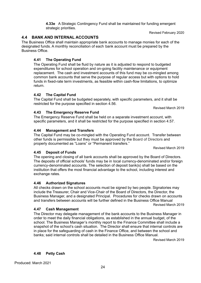Produced: March 2021

#### **4.33e** A Strategic Contingency Fund shall be maintained for funding emergent strategic priorities.

Revised February 2020

#### **4.4 BANK AND INTERNAL ACCOUNTS**

The Business Office shall maintain appropriate bank accounts to manage monies for each of the designated funds. A monthly reconciliation of each bank account must be prepared by the Business Office.

#### **4.41 The Operating Fund**

The Operating Fund shall be fluid by nature as it is adjusted to respond to budgeted expenditures for school operation and on-going facility maintenance or equipment replacement. The cash and investment accounts of this fund may be co-mingled among common bank accounts that serve the purpose of regular access but with options to hold funds in fixed-rate term investments, as feasible within cash-flow limitations, to optimize return.

#### **4.42 The Capital Fund**

The Capital Fund shall be budgeted separately, with specific parameters, and it shall be restricted for the purpose specified in section 4.56.

Revised March 2019

#### **4.43 The Emergency Reserve Fund**

The Emergency Reserve Fund shall be held on a separate investment account, with specific parameters, and it shall be restricted for the purpose specified in section 4.57.

#### **4.44 Management and Transfers**

The Capital Fund may be co-mingled with the Operating Fund account. Transfer between other funds is permissible but they must be approved by the Board of Directors and properly documented as "Loans" or "Permanent transfers."

Revised March 2019

#### **4.45 Deposit of Funds**

The opening and closing of all bank accounts shall be approved by the Board of Directors. The deposits of official schools' funds may be in local currency-denominated and/or foreign currency-denominated accounts. The selection of deposit bank(s) shall be based on the institution that offers the most financial advantage to the school, including interest and exchange rates.

#### **4.46 Authorized Signatures**

All checks drawn on the school accounts must be signed by two people. Signatories may include the Treasurer, Chair and Vice-Chair of the Board of Directors, the Director, the Business Manager, and a designated Principal. Procedures for checks drawn on accounts and transfers between accounts will be further defined in the Business Office Manual

Revised March 2019

#### **4.47 Cash Management**

**4.48 Petty Cash**

The Director may delegate management of the bank accounts to the Business Manager in order to meet the daily financial obligations, as established in the annual budget, of the school. The Business Manager's monthly report to the Finance Committee shall include a snapshot of the school's cash situation. The Director shall ensure that internal controls are in place for the safeguarding of cash in the Finance Office, and between the school and banks; said internal controls shall be detailed in the Business Office Manual.

Revised March 2019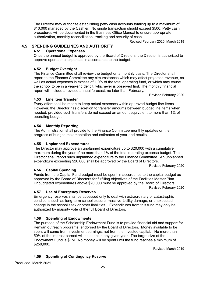The Director may authorize establishing petty cash accounts totaling up to a maximum of \$10,000 managed by the Cashier. No single transaction should exceed \$500. Petty cash procedures will be documented in the Business Office Manual to ensure appropriate authorization, monthly reconciliation, tracking and security of cash.

Revised February 2020, March 2019

# **4.5 SPENDING GUIDELINES AND AUTHORITY**

#### **4.51 Operational Expenses**

Once the annual budget is approved by the Board of Directors, the Director is authorized to approve operational expenses in accordance to the budget.

#### **4.52 Budget Oversight**

The Finance Committee shall review the budget on a monthly basis. The Director shall report to the Finance Committee any circumstances which may affect projected revenue, as well as actual expenses in excess of 1.0% of the total operating fund, or which may cause the school to be in a year-end deficit, whichever is observed first. The monthly financial report will include a revised annual forecast, no later than February.

Revised February 2020

#### **4.53 Line Item Transfer**

Every effort shall be made to keep actual expenses within approved budget line items. However, the Director has discretion to transfer amounts between budget line items when needed, provided such transfers do not exceed an amount equivalent to more than 1% of operating budget.

#### **4.54 Monthly Reporting**

The Administration shall provide to the Finance Committee monthly updates on the progress of budget implementation and estimates of year-end results.

#### **4.55 Unplanned Expenditures**

The Director may approve an unplanned expenditure up to \$20,000 with a cumulative maximum during the year of no more than 1% of the total operating expense budget. The Director shall report such unplanned expenditure to the Finance Committee. An unplanned expenditure exceeding \$20,000 shall be approved by the Board of Directors.

Revised February 2020

#### **4.56 Capital Spending**

Funds from the Capital Fund budget must be spent in accordance to the capital budget as approved by the Board of Directors for fulfilling objectives of the Facilities Master Plan. Unbudgeted expenditures above \$20,000 must be approved by the Board of Directors.

Revised February 2020

#### **4.57 Use of Emergency Reserves**

Emergency reserves shall be accessed only to deal with extraordinary or catastrophic conditions such as long-term school closure, massive facility damage, or unexpected change in the school's tax or other liabilities. Expenditures from this fund may only be authorized by majority vote of the full Board of Directors.

#### **4.58 Spending of Endowments**

The purpose of the Scholarship Endowment Fund is to provide financial aid and support for Kenyan outreach programs, endorsed by the Board of Directors. Money available to be spent will come from investment earnings, not from the invested capital. No more than 50% of the interest earned will be spent in any given year. The target size of the Endowment Fund is \$1M. No money will be spent until the fund reaches a minimum of \$250,000.

Revised March 2019

#### **4.59 Spending of Contingency Reserve**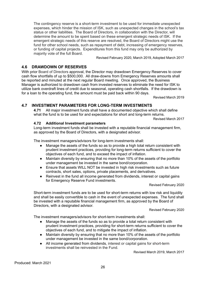The contingency reserve is a short-term investment to be used for immediate unexpected expenses, which hinder the mission of ISK, such as unexpected changes in the school's tax status or other liabilities. The Board of Directors, in collaboration with the Director, will determine the amount to be spent based on these emergent strategic needs of ISK. If the emergent strategic needs of this reserve are resolved, the Board of Directors might use the fund for other school needs, such as repayment of debt, increasing of emergency reserves, or funding of capital projects. Expenditures from this fund may only be authorized by majority vote of the full Board.

Revised February 2020, March 2019, Adopted March 2017

# **4.6 DRAWDOWN OF RESERVES**

With prior Board of Directors approval, the Director may drawdown Emergency Reserves to cover cash flow shortfalls of up to \$500,000. All draw-downs from Emergency Reserves amounts shall be reported and minuted at the next regular Board meeting. Once approved, the Business Manager is authorized to drawdown cash from invested reserves to eliminate the need for ISK to utilize bank overdraft lines of credit due to seasonal, operating cash shortfalls. If the drawdown is for a loan to the operating fund, the amount must be paid back within 90 days.

Revised March 2019

# **4.7 INVESTMENT PARAMETERS FOR LONG-TERM INVESTMENTS**

**4.71** All major investment funds shall have a documented objective which shall define what the fund is to be used for and expectations for short and long-term returns.

Revised March 2017

#### **4.72 Additional Investment parameters**

Long-term investment funds shall be invested with a reputable financial management firm, as approved by the Board of Directors, with a designated advisor.

The investment managers/advisors for long-term investments shall:

- Manage the assets of the funds so as to provide a high total return consistent with prudent investment practices, providing for long-term returns sufficient to cover the objectives of each fund, and to exceed the impact of inflation.
- Maintain diversity by ensuring that no more than 10% of the assets of the portfolio under management be invested in the same bond/corporation.
- Ensure that assets WILL NOT be invested in high risk investments such as future contracts, short sales, options, private placements, and derivatives.
- Reinvest in the fund all income generated from dividends, interest or capital gains for Emergency Reserve Fund investments.

Revised February 2020

Short-term investment funds are to be used for short-term returns with low risk and liquidity and shall be easily convertible to cash in the event of unexpected expenses. The fund shall be invested with a reputable financial management firm, as approved by the Board of Directors, with a designated advisor.

Revised February 2020

The investment managers/advisors for short-term investments shall:

- Manage the assets of the funds so as to provide a total return consistent with prudent investment practices, providing for short-term returns sufficient to cover the objectives of each fund, and to mitigate the impact of inflation.
- Maintain diversity by ensuring that no more than 10% of the assets of the portfolio under management be invested in the same bond/corporation.
- All income generated from dividends, interest or capital gains for short-term investments shall be reinvested in the Fund.

Revised March 2019, March 2017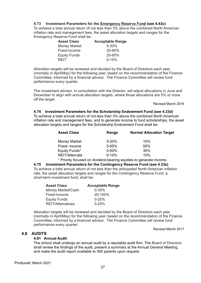#### **4.73 Investment Parameters for the Emergency Reserve Fund (see 4.43c)**

To achieve a total annual return of not less than 3% above the combined North American inflation rate and management fees, the asset allocation targets and ranges for the Emergency Reserve Fund shall be:

| <b>Asset Class</b>  | <b>Acceptable Range</b> |
|---------------------|-------------------------|
| <b>Money Market</b> | $5 - 30%$               |
| Fixed-Income        | 20-65%                  |
| <b>Equity Funds</b> | 20-65%                  |
| REIT                | $0 - 15%$               |

Allocation targets will be reviewed and decided by the Board of Directors each year (normally in April/May) for the following year, based on the recommendation of the Finance Committee, informed by a financial advisor. The Finance Committee will review fund performance every quarter.

The investment advisor, in consultation with the Director, will adjust allocations in June and December to align with annual allocation targets, where those allocations are 5% or more off the target.

Revised March 2016

#### **4.74 Investment Parameters for the Scholarship Endowment Fund (see 4.33d)**

To achieve a total annual return of not less than 3% above the combined North American inflation rate and management fees, and to generate income to fund scholarships, the asset allocation targets and ranges for the Scholarship Endowment Fund shall be:

| Range     | <b>Normal Allocation Target</b> |
|-----------|---------------------------------|
| 5-20%     | 10%                             |
| 5-65%     | 50%                             |
| $0 - 50%$ | 30%                             |
| $0 - 15%$ | 10%                             |
|           |                                 |

\* Priority focused on dividend-bearing equities to generate income.

**4.75 Investment Parameters for the Contingency Reserve Fund (see 4.33e)** To achieve a total annual return of not less than the anticipated North American inflation rate, the asset allocation targets and ranges for the Contingency Reserve Fund, a short-term investment fund, shall be:

| <b>Asset Class</b>       | <b>Acceptable Range</b> |
|--------------------------|-------------------------|
| Money Market/Cash        | $0 - 35%$               |
| Fixed-Income             | 20-100%                 |
| <b>Equity Funds</b>      | $0 - 25%$               |
| <b>REIT/Alternatives</b> | $0 - 25%$               |

Allocation targets will be reviewed and decided by the Board of Directors each year (normally in April/May) for the following year, based on the recommendation of the Finance Committee, informed by a financial advisor. The Finance Committee will review fund performance every quarter.

Revised March 2017

#### **4.8 AUDITS**

#### **4.81 Annual Audit**

The school shall undergo an annual audit by a reputable audit firm. The Board of Directors shall review the findings of the audit, present a summary at the Annual General Meeting, and make the audit report available to ISK parents upon request.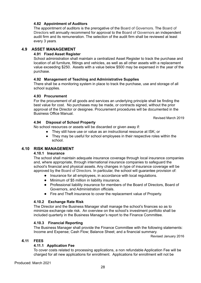# **4.82 Appointment of Auditors**

The appointment of auditors is the prerogative of the Board of Governors. The Board of Directors will annually recommend for approval to the Board of Governors an independent audit firm and its remuneration. The selection of the audit firm shall be reviewed at least every 3 years.

#### **4.9 ASSET MANAGEMENT**

#### **4.91 Fixed Asset Register**

School administration shall maintain a centralized Asset Register to track the purchase and location of all furniture, fittings and vehicles, as well as all other assets with a replacement value exceeding \$250. Assets with a value below \$500 may be expensed in the year of the purchase.

#### **4.92 Management of Teaching and Administrative Supplies**

There shall be a monitoring system in place to track the purchase, use and storage of all school supplies.

#### **4.93 Procurement**

For the procurement of all goods and services an underlying principle shall be finding the best value for cost. No purchases may be made, or contracts signed, without the prior approval of the Director or designee. Procurement procedures will be documented in the Business Office Manual.

Revised March 2019

#### **4.94 Disposal of School Property**

No school resources or assets will be discarded or given away if:

- They still have use or value as an instructional resource at ISK; or
- They may be useful for school employees in their respective roles within the school.

# **4.10 RISK MANAGEMENT**

#### **4.10.1 Insurance**

The school shall maintain adequate insurance coverage through local insurance companies and, where appropriate, through international insurance companies to safeguard the school's financial and physical assets. Any changes in type of insurance coverage will be approved by the Board of Directors. In particular, the school will guarantee provision of:

- Insurance for all employees, in accordance with local regulations.
- Minimum of \$5 million in liability insurance.
- Professional liability insurance for members of the Board of Directors, Board of Governors, and Administration officials.
- Fire and Theft insurance to cover the replacement value of Property.

#### **4.10.2 Exchange Rate Risk**

The Director and the Business Manager shall manage the school's finances so as to minimize exchange rate risk. An overview on the school's investment portfolio shall be included quarterly in the Business Manager's report to the Finance Committee.

#### **4.10.3 Financial Reporting**

The Business Manager shall provide the Finance Committee with the following statements: Income and Expense; Cash Flow; Balance Sheet; and a financial summary.

Revised January 2016

#### **4.11 FEES**

#### **4.11.1 Application Fee**

To cover costs related to processing applications, a non refundable Application Fee will be charged for all new applications for enrollment. Applications for enrollment will not be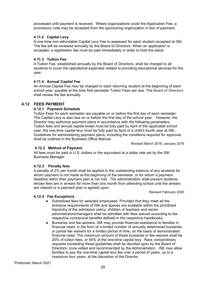processed until payment is received. Where organizations cover the Application Fee, a promissory note may be accepted from the sponsoring organization in lieu of payment.

#### **4.11.2 Capital Levy**

A one-time non-refundable Capital Levy Fee is assessed for each student accepted at ISK. The fee will be reviewed annually by the Board of Directors. When an application is accepted, a registration fee must be paid immediately in order to hold the place.

#### **4.11.3 Tuition Fee**

A Tuition Fee, established annually by the Board of Directors, shall be charged to all students to cover the operational expenses related to providing educational services for the year.

#### **4.11.4 Annual Capital Fee**

An Annual Capital Fee may be charged to each returning student at the beginning of each school year, payable at the time first semester Tuition Fees are due. The Board of Directors shall review the fee annually.

# **4.12 FEES PAYMENT**

#### **4.12.1 Payment Schedule**

Tuition Fees for each semester are payable on or before the first day of each semester. The Capital Levy is also due on or before the first day of the school year. However, the Director may authorize payment plans in accordance with the following parameters: Tuition fees and annual capital levies must be fully paid by April of the applicable school year; the one-time capital levy must be fully paid by April of a child's fourth year at ISK. Guidelines for administering payment plans, including the conditions required for approval, shall be outlined in the Business Office Manual.

Revised March 2019, January 2016

#### **4.12.2 Method of Payment**

All fees must be paid in U.S. dollars or the equivalent at a dollar rate set by the ISK Business Manager.

#### **4.12.3 Penalty fees**

A penalty of 2% per month shall be applied to the outstanding balance of any students for whom payment is not made at the beginning of the semester, or for whom a payment deadline within their payment plan is not met. The administration shall prevent students whose fees are in arrears for more than one month from attending school until the arrears are cleared or a payment plan is agreed upon.

Revised February 2020

#### **4.12.4 Fee Exceptions**

- Subsidized fees for selected employees: Provided that they meet all the entrance requirements of ISK and spaces are available within the prioritized hierarchy of the admission policy, children of teachers and senior administrators/managers shall be admitted with fees waived according to the respective contractual benefits defined in the respective handbooks.
- Bursaries and fee waivers: ISK may provide financial assistance to families in financial need, in the form of a limited number of annually determined bursaries or partial fee waivers for a limited period of time, on the basis of demonstrated financial need. The maximum amount of these bursaries or fee waivers shall be 20% of tuition fees, or 50% of the one-time capital levy. Rare, extraordinary requests exceeding these guidelines shall be decided upon by the Board of Directors, once vetted and recommended by the Administration. ISK may allow families to pay the one-time capital levy fee over a period of years, up to a maximum four years, at the discretion of the Director.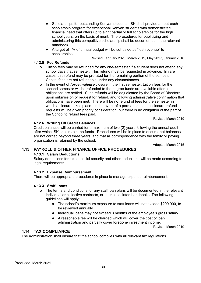- Scholarships for outstanding Kenyan students: ISK shall provide an outreach scholarship program for exceptional Kenyan students with demonstrated financial need that offers up to eight partial or full scholarships for the high school years, on the basis of merit. The procedures for publicizing and administering this competitive scholarship shall be documented in the relevant handbook.
- A target of 1% of annual budget will be set aside as "lost revenue" to scholarships.

Revised February 2020, March 2019, May 2017, January 2016

#### **4.12.5 Fee Refunds**

- o Tuition fees may be refunded for any one-semester if a student does not attend any school days that semester. This refund must be requested in advance. In rare cases, this refund may be prorated for the remaining portion of the semester. Capital fees are not refundable under any circumstances.
- o In the event of *force majeure* closure in the first semester, tuition fees for the second semester will be refunded to the degree funds are available after all obligations are settled. Such refunds will be adjudicated by the Board of Directors upon submission of request for refund, and following administrative confirmation that obligations have been met. There will be no refund of fees for the semester in which a closure takes place. In the event of a permanent school closure, refund requests will be given priority consideration, but there is no obligation of the part of the School to refund fees paid.

Revised March 2019

#### **4.12.6 Writing Off Credit Balances**

Credit balances will be carried for a maximum of two (2) years following the annual audit after which ISK shall retain the funds. Procedures will be in place to ensure that balances are not carried beyond three years, and that all correspondence with the family or paying organization is retained by the school.

Adopted March 2015

# **4.13 PAYROLL & OTHER FINANCE OFFICE PROCEDURES**

# **4.13.1 Salary Deductions**

Salary deductions for taxes, social security and other deductions will be made according to legal requirements.

# **4.13.2 Expense Reimbursement**

There will be appropriate procedures in place to manage expense reimbursement.

#### **4.13.3 Staff Loans**

- o The terms and conditions for any staff loan plans will be documented in the relevant individual or collective contracts, or their associated handbooks. The following guidelines will apply:
	- The school's maximum exposure to staff loans will not exceed \$200,000, to be reviewed annually.
	- Individual loans may not exceed 3 months of the employee's gross salary.
	- A reasonable fee will be charged which will cover the cost of loan administration and partially cover foregone investment income.

Revised March 2019

# **4.14 TAX COMPLIANCE**

The Administration shall ensure that the school complies with all relevant tax regulations.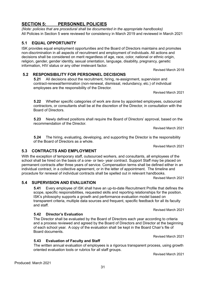# <span id="page-32-0"></span>**SECTION 5: PERSONNEL POLICIES**

*(Note: policies that are procedural shall be documented in the appropriate handbooks)* All Policies in Section 5 were reviewed for consistency in March 2019 and reviewed in March 2021

# **5.1 EQUAL OPPORTUNITY**

ISK provides equal employment opportunities and the Board of Directors maintains and promotes non-discrimination in all aspects of recruitment and employment of individuals. All actions and decisions shall be considered on merit regardless of age, race, color, national or ethnic origin, religion, gender, gender identity, sexual orientation, language, disability, pregnancy, genetic information, HIV status or any other irrelevant factor.

# **5.2 RESPONSIBILITY FOR PERSONNEL DECISIONS**

**5.21** All decisions about the recruitment, hiring, re-assignment, supervision and contract-renewal/termination (non-renewal, dismissal, redundancy, etc.) of individual employees are the responsibility of the Director.

Revised March 2021

**5.22** Whether specific categories of work are done by appointed employees, outsourced contractors, or consultants shall be at the discretion of the Director, in consultation with the Board of Directors.

**5.23** Newly defined positions shall require the Board of Directors' approval, based on the recommendation of the Director.

Revised March 2021

**5.24** The hiring, evaluating, developing, and supporting the Director is the responsibility of the Board of Directors as a whole.

Revised March 2021

# **5.3 CONTRACTS AND EMPLOYMENT**

With the exception of temporary staff, outsourced workers, and consultants, all employees of the school shall be hired on the basis of a one- or two- year contract. Support Staff may be placed on permanent contracts after three years of service. Compensation terms shall be defined either in an individual contract, in a collective agreement, or in the letter of appointment. The timeline and procedure for renewal of individual contracts shall be spelled out in relevant handbooks.

Revised March 2021

# **5.4 SUPERVISION AND EVALUATION**

**5.42 Director's Evaluation**

**5.41** Every employee of ISK shall have an up-to-date Recruitment Profile that defines the scope, specific responsibilities, requested skills and reporting relationships for the position. ISK's philosophy supports a growth and performance evaluation model based on transparent criteria, multiple data sources and frequent, specific feedback for all its faculty and staff.

Revised March 2021

The Director shall be evaluated by the Board of Directors each year according to criteria and a process reviewed and agreed by the Board of Directors and Director at the beginning of each school year. A copy of the evaluation shall be kept in the Board Chair's file of Board documents.

**5.43 Evaluation of Faculty and Staff**

The written annual evaluation of employees is a rigorous transparent process, using growth oriented evaluation tools or rubrics for all staff groups.

Revised March 2021

Revised March 2021

Revised March 2018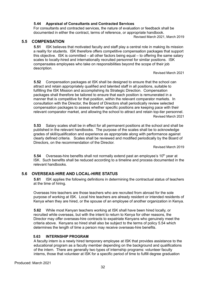# **5.44 Appraisal of Consultants and Contracted Services**

For consultants and contracted services, the nature of evaluation or feedback shall be documented in either the contract, terms of reference, or appropriate handbook.

Revised March 2021, March 2019

#### **5.5 COMPENSATION**

**5.51** ISK believes that motivated faculty and staff play a central role in making its mission a reality for students. ISK therefore offers competitive compensation packages that support this objective. ISK is committed – all other factors being equal – to offering the same salary scales to locally-hired and internationally recruited personnel for similar positions. ISK compensates employees who take on responsibilities beyond the scope of their job description.

Revised March 2021

**5.52** Compensation packages at ISK shall be designed to ensure that the school can attract and retain appropriately qualified and talented staff in all positions, suitable to fulfilling the ISK Mission and accomplishing its Strategic Direction. Compensation packages shall therefore be tailored to ensure that each position is remunerated in a manner that is competitive for that position, within the relevant comparator markets. In consultation with the Director, the Board of Directors shall periodically review selected compensation packages to assess whether specific positions are keeping pace with their relevant comparator market, and allowing the school to attract and retain top-tier personnel. Revised March 2021

**5.53** Salary scales shall be in effect for all permanent positions at the school and shall be published in the relevant handbooks. The purpose of the scales shall be to acknowledge grades of skill/qualification and experience as appropriate along with performance against clearly defined criteria. Scales shall be reviewed and modified periodically by the Board of Directors, on the recommendation of the Director.

Revised March 2019

**5.54** Overseas-hire benefits shall not normally extend past an employee's 10<sup>th</sup> year at ISK. Such benefits shall be reduced according to a timeline and process documented in the relevant handbooks.

# **5.6 OVERSEAS-HIRE AND LOCAL-HIRE STATUS**

**5.61** ISK applies the following definitions in determining the contractual status of teachers at the time of hiring.

Overseas hire teachers are those teachers who are recruited from abroad for the sole purpose of working at ISK. Local hire teachers are already resident or intended residents of Kenya when they are hired, or the spouse of an employee of another organization in Kenya.

**5.62** While most Kenyan teachers working at ISK shall have been hired locally, or recruited while overseas, but with the intent to return to Kenya for other reasons, the Director may offer overseas-hire contracts to expatriate Kenyans who genuinely meet the criteria above. Kenyans so hired shall also be subject to the terms of policy 5.54 which determines the length of time a person may receive overseas-hire benefits.

# **5.63 INTERNSHIP PROGRAM**

A faculty intern is a newly hired temporary employee at ISK that provides assistance to the educational program as a faculty member depending on the background and qualifications of the intern. There are generally two types of internship programs: volunteer faculty interns, those that volunteer at ISK for a specific period of time to fulfill degree graduation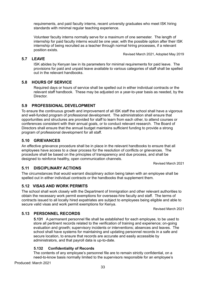requirements, and paid faculty interns, recent university graduates who meet ISK hiring standards with minimal regular teaching experience.

Volunteer faculty interns normally serve for a maximum of one semester. The length of internship for paid faculty interns would be one year, with the possible option after their ISK internship of being recruited as a teacher through normal hiring processes, if a relevant position exists.

Revised March 2021, Adopted May 2019

# **5.7 LEAVE**

ISK abides by Kenyan law in its parameters for minimal requirements for paid leave. The provisions for paid and unpaid leave available to various categories of staff shall be spelled out in the relevant handbooks.

# **5.8 HOURS OF SERVICE**

Required days or hours of service shall be spelled out in either individual contracts or the relevant staff handbook. These may be adjusted on a year-to-year basis as needed, by the Director.

# **5.9 PROFESSIONAL DEVELOPMENT**

To ensure the continuous growth and improvement of all ISK staff the school shall have a vigorous and well-funded program of professional development. The administration shall ensure that opportunities and structures are provided for staff to learn from each other, to attend courses or conferences consistent with their annual goals, or to conduct relevant research. The Board of Directors shall ensure that the annual budget maintains sufficient funding to provide a strong program of professional development for all staff.

# **5.10 GRIEVANCES**

An effective grievance procedure shall be in place in the relevant handbooks to ensure that all employees have access to a clear process for the resolution of conflicts or grievances. The procedure shall be based on the principles of transparency and due process, and shall be designed to reinforce healthy, open communication channels.

Revised March 2021

# **5.11 DISCIPLINARY ACTIONS**

The circumstances that would warrant disciplinary action being taken with an employee shall be spelled out in either individual contracts or the handbooks that supplement them.

# **5.12 VISAS AND WORK PERMITS**

The school shall work closely with the Department of Immigration and other relevant authorities to obtain the necessary work permit exemptions for overseas-hire faculty and staff. The terms of contracts issued to all locally hired expatriates are subject to employees being eligible and able to secure valid visas and work permit exemptions for Kenya.

Revised March 2021

# **5.13 PERSONNEL RECORDS**

**5.131** A permanent personnel file shall be established for each employee, to be used to store all pertinent records related to the verification of training and experience; on-going evaluation and growth; supervisory incidents or interventions; absences and leaves. The school shall have systems for maintaining and updating personnel records in a safe and secure location, to ensure that records are accurate and easily accessible by administrators, and that payroll data is up-to-date.

# **5.132 Confidentiality of Records**

The contents of any employee's personnel file are to remain strictly confidential, on a need-to-know basis normally limited to the supervisors responsible for an employee's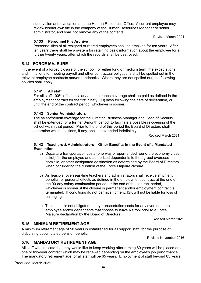supervision and evaluation and the Human Resources Office. A current employee may review his/her own file in the company of the Human Resources Manager or senior administrator, and shall not remove any of the contents.

Revised March 2021

#### **5.133 Personnel File Archive**

Personnel files of all resigned or retired employees shall be archived for ten years. After ten years there shall be a system for retaining basic information about the employee for a further twenty years, after which the records shall be destroyed.

# **5.14 FORCE MAJEURE**

In the event of a forced closure of the school, for either long or medium term, the expectations and limitations for meeting payroll and other contractual obligations shall be spelled out in the relevant employee contracts and/or handbooks. Where they are not spelled out, the following policies shall apply:

#### **5.141 All staff**

For all staff 100% of base salary and insurance coverage shall be paid as defined in the employment contract for the first ninety (90) days following the date of declaration, or until the end of the contract period, whichever is sooner.

#### **5.142 Senior Administrators**

The salary/benefit coverage for the Director, Business Manager and Head of Security shall be extended for a further 6-month period, to facilitate a possible re-opening of the school within that period. Prior to the end of this period the Board of Directors shall determine which positions, if any, shall be extended indefinitely.

Revised March 2021

#### **5.143 Teachers & Administrators – Other Benefits in the Event of a Mandated Evacuation.**

- a) Departure transportation costs (one-way or open-ended round-trip economy class ticket) for the employee and authorized dependents to the agreed overseas domicile, or other designated destination as determined by the Board of Directors when considering the duration of the Force Majeure closure.
- b) As feasible, overseas-hire teachers and administrators shall receive shipment benefits for personal effects as defined in the employment contract at the end of the 90-day salary continuation period, or the end of the contract period, whichever is sooner, if the closure is permanent and/or employment contract is terminated. If conditions do not permit shipment, ISK will not be liable for loss of belongings.
- c) The school is not obligated to pay transportation costs for any overseas-hire employee and/or dependents that choose to leave Nairobi prior to a Force Majeure declaration by the Board of Directors.

Revised March 2021

#### **5.15 MINIMUM RETIREMENT AGE**

A minimum retirement age of 50 years is established for all support staff, for the purpose of disbursing accumulated pension benefit.

Revised November 2016

# **5.16 MANDATORY RETIREMENT AGE**

All staff who indicate that they would like to keep working after turning 60 years will be placed on a one or two-year contract which may be renewed depending on the employee's job performance. The mandatory retirement age for all staff will be 65 years. Employment of staff beyond 65 years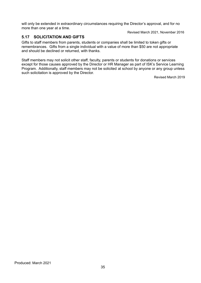will only be extended in extraordinary circumstances requiring the Director's approval, and for no more than one year at a time.

Revised March 2021, November 2016

# **5.17 SOLICITATION AND GIFTS**

Gifts to staff members from parents, students or companies shall be limited to token gifts or remembrances. Gifts from a single individual with a value of more than \$50 are not appropriate and should be declined or returned, with thanks.

Staff members may not solicit other staff, faculty, parents or students for donations or services except for those causes approved by the Director or HR Manager as part of ISK's Service Learning Program. Additionally, staff members may not be solicited at school by anyone or any group unless such solicitation is approved by the Director.

Revised March 2019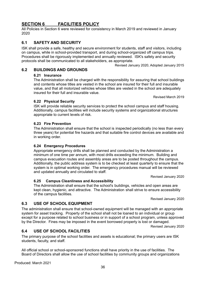The administration shall ensure that school-owned equipment will be managed with an appropriate system for asset tracking. Property of the school shall not be loaned to an individual or group by the Director. Fines may be imposed in the event borrowed property is lost or damaged.

Revised January 2020

Revised January 2020

Revised January 2020

Revised March 2019

ISK will provide reliable security services to protect the school campus and staff housing. Additionally, campus facilities will include security systems and organizational structures appropriate to current levels of risk.

The Administration shall be charged with the responsibility for assuring that school buildings and contents whose titles are vested in the school are insured for their full and insurable value, and that all motorized vehicles whose titles are vested in the school are adequately

#### **6.23 Fire Prevention**

**6.22 Physical Security**

The Administration shall ensure that the school is inspected periodically (no less than every three years) for potential fire hazards and that suitable fire control devices are available and in working order.

#### **6.24 Emergency Procedures**

Appropriate emergency drills shall be planned and conducted by the Administration a minimum of one time per annum, with most drills exceeding the minimum. Building and campus evacuation routes and assembly areas are to be posted throughout the campus. Additionally, the public address system is to be checked at least quarterly to ensure that the system is in optimal working order. The emergency procedures manual will be reviewed and updated annually and circulated to staff.

#### **6.25 Campus Cleanliness and Accessibility**

The Administration shall ensure that the school's buildings, vehicles and open areas are kept clean, hygienic, and attractive. The Administration shall strive to ensure accessibility of the campus facilities.

#### **6.3 USE OF SCHOOL EQUIPMENT**

except for a purpose related to school business or in support of a school program, unless approved

# **6.4 USE OF SCHOOL FACILITIES**

The primary purpose of the school facilities and assets is educational; the primary users are ISK students, faculty, and staff.

All official school or school-sponsored functions shall have priority in the use of facilities. The Board of Directors shall allow the use of school facilities by community groups and organizations

Produced: March 2021

# <span id="page-37-0"></span>**SECTION 6 FACILITIES POLICY**

All Policies in Section 6 were reviewed for consistency in March 2019 and reviewed in January 2020

#### **6.1 SAFETY AND SECURITY**

**6.2 BUILDINGS AND GROUNDS**

insured for their full and insurable value.

**6.21 Insurance**

ISK shall provide a safe, healthy and secure environment for students, staff and visitors, including on campus, while in school-provided transport, and during school-organized off campus trips. Procedures shall be rigorously implemented and annually reviewed. ISK's safety and security protocols shall be communicated to all stakeholders, as appropriate.

Revised January 2020, Adopted January 2015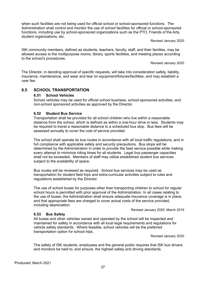when such facilities are not being used for official school or school-sponsored functions. The Administration shall control and monitor the use of school facilities for official or school-sponsored functions, including use by school-sponsored organizations such as the PTO, Friends of the Arts, student organizations, etc.

Revised January 2020

ISK community members, defined as students, teachers, faculty, staff, and their families, may be allowed access to the multipurpose rooms, library, sports facilities, and meeting places according to the school's procedures.

Revised January 2020

The Director, in deciding approval of specific requests, will take into consideration safety, liability, insurance, maintenance, and wear and tear on equipment/fixtures/facilities, and may establish a user fee.

# **6.5 SCHOOL TRANSPORTATION**

#### **6.51 School Vehicles**

School vehicles may be used for official school business, school-sponsored activities, and non-school sponsored activities as approved by the Director.

#### **6.52 Student Bus Service**

Transportation shall be provided for all school children who live within a reasonable distance from the school, which is defined as within a one-hour drive or less. Students may be required to travel a reasonable distance to a scheduled bus stop. Bus fees will be assessed annually to cover the cost of service provided.

The school shall operate its bus routes in accordance with all local traffic regulations, and in full compliance with applicable safety and security precautions. Bus stops will be determined by the Administration in order to provide the best service possible while making every attempt to minimize riding times for all students. Legal bus passenger capacities shall not be exceeded. Members of staff may utilize established student bus services subject to the availability of space.

Bus routes will be reviewed as required. School bus services may be used as transportation for student field trips and extra-curricular activities subject to rules and regulations established by the Director.

The use of school buses for purposes other than transporting children to school for regular school hours is permitted with prior approval of the Administration. In all cases relating to the use of buses, the Administration shall ensure adequate insurance coverage is in place, and that appropriate fees are charged to cover actual costs of the service provided, including depreciation.

Revised January 2020, March 2019

# **6.53 Bus Safety**

All buses and other vehicles owned and operated by the school will be inspected and maintained for safety in accordance with all local legal requirements and regulations for vehicle safety standards. Where feasible, school vehicles will be the preferred transportation option for school trips.

Revised January 2020

The safety of ISK students, employees and the general public requires that ISK bus drivers and monitors be held to, and ensure, the highest safety and driving standards.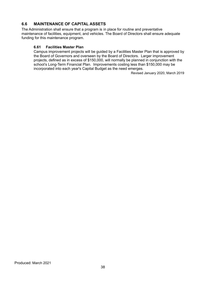# **6.6 MAINTENANCE OF CAPITAL ASSETS**

The Administration shall ensure that a program is in place for routine and preventative maintenance of facilities, equipment, and vehicles. The Board of Directors shall ensure adequate funding for this maintenance program.

#### **6.61 Facilities Master Plan**

Campus improvement projects will be guided by a Facilities Master Plan that is approved by the Board of Governors and overseen by the Board of Directors. Larger improvement projects, defined as in excess of \$150,000, will normally be planned in conjunction with the school's Long-Term Financial Plan. Improvements costing less than \$150,000 may be incorporated into each year's Capital Budget as the need emerges.

Revised January 2020, March 2019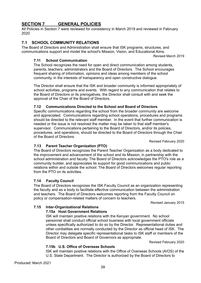# <span id="page-40-0"></span>**SECTION 7 GENERAL POLICIES**

All Policies in Section 7 were reviewed for consistency in March 2019 and reviewed in February 2020

# **7.1 SCHOOL COMMUNITY RELATIONS**

The Board of Directors and Administration shall ensure that ISK programs, structures, and communications support and model the school's Mission, Vision, and Educational Aims.

Revised March 2019

# **7.11 School Communication**

The School recognizes the need for open and direct communication among students, parents, teachers, administrators and the Board of Directors. The School encourages frequent sharing of information, opinions and ideas among members of the school community, in the interests of transparency and open constructive dialogue.

The Director shall ensure that the ISK and broader community is informed appropriately of school activities, programs and events. With regard to any communication that relates to the Board of Directors or its prerogatives, the Director shall consult with and seek the approval of the Chair of the Board of Directors.

#### **7.12 Communications Directed to the School and Board of Directors**

Specific communications regarding the school from the broader community are welcome and appreciated. Communications regarding school operations, procedures and programs should be directed to the relevant staff member. In the event that further communication is needed or the issue is not resolved the matter may be taken to that staff member's supervisor. Communications pertaining to the Board of Directors, and/or its policies, procedures, and operations, should be directed to the Board of Directors through the Chair of the Board of Directors.

Revised February 2020

# **7.13 Parent Teacher Organization (PTO)**

The Board of Directors recognizes the Parent Teacher Organization as a body dedicated to the improvement and advancement of the school and its Mission, in partnership with the school administration and faculty. The Board of Directors acknowledges the PTO's role as a community builder, and appreciates its support for good communications and public relations within and outside the school. The Board of Directors welcomes regular reporting from the PTO on its activities.

# **7.14 Faculty Council**

The Board of Directors recognizes the ISK Faculty Council as an organization representing the faculty and as a body to facilitate effective communication between the administration and teachers. The Board of Directors welcomes reporting from the Faculty Council on policy or compensation-related matters of concern to teachers.

Revised January 2015

# **7.15 Inter-Organizational Relations**

#### **7.15a Host Government Relations**

ISK will maintain positive relations with the Kenyan government. No school personnel shall conduct official school business with local government officials unless specifically authorized to do so by the Director. Representational duties and other cordialities are normally conducted by the Director as official head of ISK. The Director may delegate specific representational tasks to ISK staff or members of the Board of Directors and Board of Governors as appropriate.

Revised February 2020

#### **7.15b U.S. Office of Overseas Schools**

ISK will maintain positive relations with the Office of Overseas Schools (A/OS) of the U.S. State Department. The Director is authorized by the Board of Directors to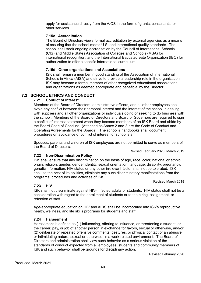apply for assistance directly from the A/OS in the form of grants, consultants, or other services.

#### **7.15c Accreditation**

The Board of Directors views formal accreditation by external agencies as a means of assuring that the school meets U.S. and international quality standards. The school shall seek ongoing accreditation by the Council of International Schools (CIS) and Middle States Association of Colleges and Schools (MSA) for international recognition; and the International Baccalaureate Organization (IBO) for authorization to offer a specific international curriculum.

#### **7.15d Other organizations and Associations**

ISK shall remain a member in good standing of the Association of International Schools in Africa (AISA) and strive to provide a leadership role in the organization. ISK may become a formal member of other recognized educational associations and organizations as deemed appropriate and beneficial by the Director.

# **7.2 SCHOOL ETHICS AND CONDUCT**

# **7.21 Conflict of Interest**

Members of the Board of Directors, administrative officers, and all other employees shall avoid any conflict between their personal interest and the interest of the school in dealing with suppliers and all other organizations or individuals doing or seeking to do business with the school. Members of the Board of Directors and Board of Governors are required to sign a conflict of interest statement when they become members of an ISK Board and abide by the Board Code of Conduct. (Attached as Annex 2 and 3 are the Code of Conduct and Operating Agreements for the Boards). The school's handbooks shall document procedures on avoidance of conflict of interest for school staff.

Spouses, parents and children of ISK employees are not permitted to serve as members of the Board of Directors.

Revised February 2020, March 2019

# **7.22 Non-Discrimination Policy**

ISK shall ensure that any discrimination on the basis of age, race, color, national or ethnic origin, religion, gender, gender identity, sexual orientation, language, disability, pregnancy, genetic information, HIV status or any other irrelevant factor shall not be tolerated. ISK shall, to the best of its abilities, eliminate any such discriminatory manifestations from the programs, procedures and activities of ISK.

Revised March 2018

# **7.23 HIV**

ISK shall not discriminate against HIV- infected adults or students. HIV status shall not be a consideration with regard to the enrollment of students or to the hiring, assignment, or retention of staff.

Age-appropriate education on HIV and AIDS shall be incorporated into ISK's reproductive health, wellness, and life skills programs for students and staff.

#### **7.24 Harassment**

Harassment is defined as (1) influencing, offering to influence, or threatening a student, or the career, pay, or job of another person in exchange for favors, sexual or otherwise, and/or (2) deliberate or repeated offensive comments, gestures, or physical contact of an abusive or intimidating nature, sexual or otherwise, in a work-related environment. The Board of Directors and administration shall view such behavior as a serious violation of the standards of conduct expected from all employees, students and community members of ISK and such behavior shall be grounds for disciplinary action.

Revised February 2020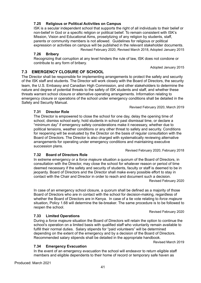# **7.25 Religious or Political Activities on Campus**

ISK is a secular independent school that supports the right of all individuals to their belief or non-belief in God or a specific religion or political belief. To remain consistent with ISK's Mission, Vision and Educational Aims, proselytizing of any religion by students, staff, parents or community members is not allowed. Guidelines for religious or political expression or activities on campus will be published in the relevant stakeholder documents.

Revised February 2020, Revised March 2018, Adopted January 2015

#### **7.26 Bribery**

Recognizing that corruption at any level hinders the rule of law, ISK does not condone or contribute to any form of bribery.

Adopted January 2015

# **7.3 EMERGENCY CLOSURE OF SCHOOL**

The Director shall be responsible for implementing arrangements to protect the safety and security of the ISK staff and students. The Director will work closely with the Board of Directors, the security team, the U.S. Embassy and Canadian High Commission, and other stakeholders to determine the nature and degree of potential threats to the safety of ISK students and staff, and whether these threats warrant school closure or alternative operating arrangements. Information relating to emergency closure or operations of the school under emergency conditions shall be detailed in the Safety and Security Manual.

Revised February 2020, March 2019

#### **7.31 Director Role**

The Director is empowered to close the school for one day, delay the opening time of school, dismiss school early, hold students in school past dismissal time, or declare a "minimum day" if emergency safety considerations make it necessary, whether due to political tensions, weather conditions or any other threat to safety and security. Conditions for reopening will be evaluated by the Director on the basis of regular consultation with the Board of Directors. The Director is also charged with systematically reviewing alternative arrangements for operating under emergency conditions and maintaining executive succession plans.

Revised February 2020, February 2018

# **7.32 Board of Directors Role**

In extreme emergency or a *force majeure* situation a quorum of the Board of Directors, in consultation with the Director, may close the school for whatever reason or period of time deemed necessary if the safety and security of students, faculty or staff is deemed to be in jeopardy. Board of Directors and the Director shall make every possible effort to stay in contact with the Chair and Director in order to reach and document such a decision. Revised February 2020

In case of an emergency school closure, a quorum shall be defined as a majority of those Board of Directors who are in contact with the school for decision-making, regardless of whether the Board of Directors are in Kenya. In case of a tie vote relating to *force majeure* situation, Policy 1.68 will determine the tie-breaker. The same procedure is to be followed to reopen the school.

Revised February 2020

# **7.33 Limited Operations**

During a *force majeure* situation the Board of Directors will retain the option to continue the school's operation on a limited basis with qualified staff who voluntarily remain available to fulfill their normal duties. Salary stipends for "paid volunteers" will be determined depending on the extent of the emergency and by a decision of the Board of Directors. Recommended salary stipends shall be detailed in the appropriate handbook.

Revised March 2019

#### **7.34 Emergency Evacuation**

In the event of an emergency evacuation the school will endeavor to return eligible staff members and eligible dependents to their home of record or temporary safe haven as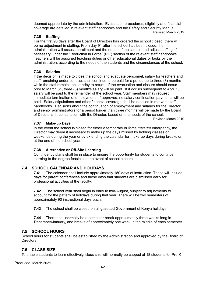deemed appropriate by the administration. Evacuation procedures, eligibility and financial coverage are detailed in relevant staff handbooks and the Safety and Security Manual.

#### Revised March 2019

# **7.35 Staffing**

For the first 90 days after the Board of Directors has ordered the school closed, there will be no adjustment in staffing. From day 91 after the school has been closed, the administration will assess enrollment and the needs of the school, and adjust staffing, if necessary, under the "Reduction in Force" (RIF) section of the relevant staff handbooks. Teachers will be assigned teaching duties or other educational duties or tasks by the administration, according to the needs of the students and the circumstances of the school.

# **7.36 Salaries**

If the decision is made to close the school and evacuate personnel, salary for teachers and staff remaining under contract shall continue to be paid for a period up to three (3) months while the staff remains on standby to return. If the evacuation and closure should occur prior to March 31, three (3) month's salary will be paid. If it occurs subsequent to April 1, salary will be paid to the remainder of the school year. Staff members may request immediate termination of employment. If approved, no salary continuation payments will be paid. Salary stipulations and other financial coverage shall be detailed in relevant staff handbooks. Decisions about the continuation of employment and salaries for the Director and senior administrators for a period longer than three months will be made by the Board of Directors, in consultation with the Director, based on the needs of the school.

Revised March 2019

# **7.37 Make-up Days**

In the event the school is closed for either a temporary or *force majeure* emergency, the Director may deem it necessary to make up the days missed by holding classes on weekends during the year or by extending the calendar for make-up days during breaks or at the end of the school year.

# **7.38 Alternative or Off-Site Learning**

Contingency plans shall be in place to ensure the opportunity for students to continue learning to the degree feasible in the event of school closure.

# **7.4 SCHOOL CALENDAR AND HOLIDAYS**

**7.41** The calendar shall include approximately 180 days of instruction. These will include days for parent conferences and those days that students are dismissed early for professional activities of the faculty.

**7.42** The school year shall begin in early to mid-August, subject to adjustments to account for the pattern of holidays during that year. There will be two semesters of approximately 90 instructional days each.

**7.43** The school shall be closed on all gazetted Government of Kenya holidays.

**7.44** There shall normally be a semester break approximately three weeks long in December/January, and breaks of approximately one week in the middle of each semester.

# **7.5 SCHOOL HOURS**

School hours for students shall be established by the Administration and approved by the Board of Directors.

# **7.6 CLASS SIZE**

To enable students to learn effectively, class size will normally be capped at 18 students for Pre-K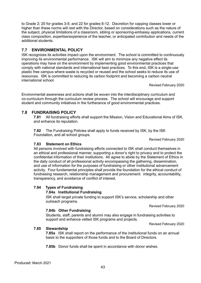to Grade 2; 20 for grades 3-5; and 22 for grades 6-12. Discretion for capping classes lower or higher than these norms will rest with the Director, based on considerations such as the nature of the subject, physical limitations of a classroom, sibling or sponsoring-embassy applications, current class composition, expertise/experience of the teacher, or anticipated contribution and needs of the additional students.

# **7.7 ENVIRONMENTAL POLICY**

ISK recognizes its activities impact upon the environment. The school is committed to continuously improving its environmental performance. ISK will aim to minimize any negative effect its operations may have on the environment by implementing good environmental practices that comply with national standards and international best practices. To this end, ISK is a single-use plastic free campus where waste is recycled or reused and the school seeks to reduce its use of resources. ISK is committed to reducing its carbon footprint and becoming a carbon neutral international school.

Revised February 2020

Environmental awareness and actions shall be woven into the interdisciplinary curriculum and co-curriculum through the curriculum review process. The school will encourage and support student and community initiatives in the furtherance of good environmental practices.

# **7.8 FUNDRAISING POLICY**

**7.81** All fundraising efforts shall support the Mission, Vision and Educational Aims of ISK, and enhance its reputation.

**7.82** The Fundraising Policies shall apply to funds received by ISK, by the ISK Foundation, and all school groups.

Revised February 2020

# **7.83 Statement on Ethics**

All persons involved with fundraising efforts connected to ISK shall conduct themselves in an ethical and professional manner, supporting a donor's right to privacy and to protect the confidential information of their institutions. All agree to abide by the Statement of Ethics in the daily conduct of all professional activity encompassing the gathering, dissemination, and use of information for the purposes of fundraising or other institutional advancement activity. Four fundamental principles shall provide the foundation for the ethical conduct of fundraising research, relationship management and procurement: integrity, accountability, transparency, and avoidance of conflict of interest.

# **7.84 Types of Fundraising**

# **7.84a Institutional Fundraising**

ISK shall target private funding to support ISK's service, scholarship and other outreach programs.

Revised February 2020

# **7.84b Other Fundraising**

Students, staff, parents and alumni may also engage in fundraising activities to support and enhance vetted ISK programs and projects.

Revised February 2020

# **7.85 Stewardship**

**7.85a** ISK shall report on the performance of the institutional funds on an annual basis to the supporters of those funds and to the Board of Directors.

**7.85b** Donor funds shall be spent in accordance with donor wishes.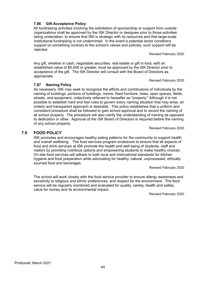#### **7.86 Gift Acceptance Policy**

All fundraising activities involving the solicitation of sponsorship or support from outside organizations shall be approved by the ISK Director or designee prior to those activities being undertaken, to ensure that ISK is strategic with its resources and that large-scale institutional fundraising is not undermined. In the event a potential donor conditions support on something contrary to the school's values and policies, such support will be rejected.

Any gift, whether in cash, negotiable securities, real estate or gift in kind, with an established value of \$5,000 or greater, must be approved by the ISK Director prior to acceptance of the gift. The ISK Director will consult with the Board of Directors as appropriate.

#### **7.87 Naming Policy**

As necessary, ISK may seek to recognize the efforts and contributions of individuals by the naming of buildings, portions of buildings, rooms, fixed furniture, trees, open spaces, fields, streets, and equipment, collectively referred to hereafter as "property." Although it is not possible to establish hard and fast rules to govern every naming situation that may arise, an orderly and transparent approach is desirable. This policy establishes that a uniform and consistent procedure shall be followed to gain school approval and to record the naming of all school property. The procedure will also clarify the understanding of naming as opposed to dedication or other. Approval of the ISK Board of Directors is required before the naming of any school property.

#### **7.9 FOOD POLICY**

ISK promotes and encourages healthy eating patterns for the community to support health and overall wellbeing. The food services program endeavors to ensure that all aspects of food and drink services at ISK promote the health and well being of students, staff and visitors by providing nutritious options and empowering students to make healthy choices. On-site food services will adhere to both local and international standards for kitchen hygiene and food preparation while advocating for healthy, natural, unprocessed, ethically sourced food and beverages.

#### Revised February 2020

Revised February 2020

The school will work closely with the food service provider to ensure allergy awareness and sensitivity to religious and ethnic preferences, and respect for the environment. The food service will be regularly monitored and evaluated for quality, variety, health and safety, value for money and its environmental impact.

Revised February 2020

Revised February 2020

Revised February 2020

44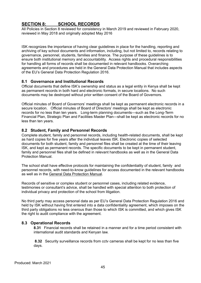# <span id="page-46-0"></span>**SECTION 8: SCHOOL RECORDS**

All Policies in Section 8 reviewed for consistency in March 2019 and reviewed in February 2020, reviewed in May 2018 and originally adopted May 2016

ISK recognizes the importance of having clear guidelines in place for the handling, reporting and archiving of key school documents and information, including, but not limited to, records relating to governance, personnel, students, families and finance. The purpose of these guidelines is to ensure both institutional memory and accountability. Access rights and procedural responsibilities for handling all forms of records shall be documented in relevant handbooks. Overarching agreements and procedures are held in the General Data Protection Manual that includes aspects of the EU's General Data Protection Regulation 2016.

#### **8.1 Governance and Institutional Records**

Official documents that define ISK's ownership and status as a legal entity in Kenya shall be kept as permanent records in both hard and electronic formats, in secure locations. No such documents may be destroyed without prior written consent of the Board of Governors.

Official minutes of Board of Governors' meetings shall be kept as permanent electronic records in a secure location. Official minutes of Board of Directors' meetings shall be kept as electronic records for no less than ten years. Long-term planning documents—such as the Long-Term Financial Plan, Strategic Plan and Facilities Master Plan—shall be kept as electronic records for no less than ten years.

#### **8.2 Student, Family and Personnel Records**

Complete student, family and personnel records, including health-related documents, shall be kept as hard copies for five years after the individual leaves ISK. Electronic copies of selected documents for both student, family and personnel files shall be created at the time of their leaving ISK, and kept as permanent records. The specific documents to be kept in permanent student, family and personnel files shall be defined in relevant handbooks as well as in the General Data Protection Manual.

The school shall have effective protocols for maintaining the confidentiality of student, family and personnel records, with need-to-know guidelines for access documented in the relevant handbooks as well as in th[e General Data Protection Manual](https://docs.google.com/document/d/1Mqa9Pzc2P9hbqZSwaYQx71N7zXUgVQpSVlXD2RdNrvo/edit).

Records of sensitive or complex student or personnel cases, including related evidence, testimonies or consultant's advice, shall be handled with special attention to both protection of individual privacy and protection of the school from litigation.

No third party may access personal data as per EU's General Data Protection Regulation 2016 and held by ISK without having first entered into a data confidentiality agreement, which imposes on the third party obligations no less onerous than those to which ISK is committed, and which gives ISK the right to audit compliance with the agreement.

#### **8.3 Operational Records**

**8.31** Financial records shall be retained in a manner and for a time period consistent with international audit standards and Kenyan law.

**8.32** Security surveillance records from cctv cameras shall be kept for no less than five days.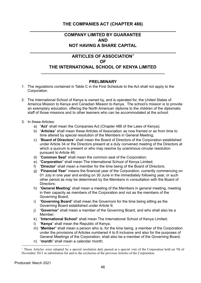# **THE COMPANIES ACT (CHAPTER 486)**

# <span id="page-47-0"></span>**\_\_\_\_\_\_\_\_\_\_\_\_\_\_\_\_\_\_\_\_\_\_\_\_\_\_\_\_\_\_\_\_\_\_\_\_\_\_\_\_\_\_\_\_\_\_\_\_\_\_\_\_\_\_\_\_\_\_\_\_ COMPANY LIMITED BY GUARANTEE AND NOT HAVING A SHARE CAPITAL**

**\_\_\_\_\_\_\_\_\_\_\_\_\_\_\_\_\_\_\_\_\_\_\_\_\_\_\_\_\_\_\_\_\_\_\_\_\_\_\_\_\_\_\_\_\_\_\_\_\_\_\_\_\_\_\_\_\_\_\_\_**

# **ARTICLES OF ASSOCIATION<sup>1</sup> OF THE INTERNATIONAL SCHOOL OF KENYA LIMITED**

# **PRELIMINARY**

**\_\_\_\_\_\_\_\_\_\_\_\_\_\_\_\_\_\_\_\_\_\_\_\_\_\_\_\_\_\_\_\_\_\_\_\_\_\_\_\_\_\_\_\_\_\_\_\_\_\_\_\_\_\_\_\_\_\_\_\_**

- 1. The regulations contained in Table C in the First Schedule to the Act shall not apply to the Corporation.
- 2. The International School of Kenya is owned by, and is operated for, the United States of America Mission to Kenya and Canadian Mission to Kenya. The school's mission is to provide an exemplary education, offering the North American diploma to the children of the diplomatic staff of those missions and to other learners who can be accommodated at the school.
- 3. In these Articles:
	- a) "**Act**" shall mean the Companies Act (Chapter 486 of the Laws of Kenya);
	- b) "**Articles**" shall mean these Articles of Association as now framed or as from time to time altered by special resolution of the Members in General Meeting;
	- c) "**Board of Directors**" shall mean the Board of Directors of the Corporation established under Article 34 or the Directors present at a duly convened meeting of the Directors at which a quorum is present or who may resolve by unanimous circular resolution pursuant to Article 46;
	- d) "**Common Seal**" shall mean the common seal of the Corporation;
	- e) "**Corporation**" shall mean The International School of Kenya Limited;
	- f) "**Director**" shall mean a member for the time being of the Board of Directors;
	- g) "**Financial Year**" means the financial year of the Corporation, currently commencing on 01 July in one year and ending on 30 June in the immediately following year, or such other period as may be determined by the Members in consultation with the Board of Directors;
	- h) "**General Meeting**" shall mean a meeting of the Members in general meeting, meeting in their capacity as members of the Corporation and not as the members of the Governing Board;
	- i) "**Governing Board**" shall mean the Governors for the time being sitting as the Governing Board established under Article 9;
	- j) "**Governor**" shall mean a member of the Governing Board, and who shall also be a Member;
	- k) "**International School**" shall mean The International School of Kenya Limited;
	- l) "**Kenya**" shall mean the Republic of Kenya;
	- m) "**Member**" shall mean a person who is, for the time being, a member of the Corporation under the provisions of Articles numbered 4 to 8 inclusive and also for the purposes of General Meetings of the Corporation, shall also be a member of the Governing Board;
	- n) "**month**" shall mean a calendar month;

<sup>&</sup>lt;sup>1</sup> These Articles were adopted by a special resolution duly passed at a special vote of the Corporation held on 7th of November 2011 in substitution for and to the exclusion of the previous Articles of the Corporation.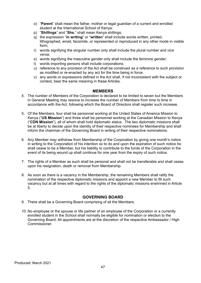- o) "**Parent**" shall mean the father, mother or legal guardian of a current and enrolled student at the International School of Kenya;
- p) "**Shillings**" and "**Shs.**" shall mean Kenya shillings;
- q) the expression "**in writing**" or "**written**" shall include words written, printed, lithographed, email, facsimile, or represented or reproduced in any other mode in visible form;
- r) words signifying the singular number only shall include the plural number and *vice versa*;
- s) words signifying the masculine gender only shall include the feminine gender;
- t) words importing persons shall include corporations;
- u) reference to any provision of the Act shall be construed as a reference to such provision as modified or re-enacted by any act for the time being in force.
- v) any words or expressions defined in the Act shall, if not inconsistent with the subject or context, bear the same meaning in these Articles.

#### **MEMBERS**

- 4. The number of Members of the Corporation is declared to be limited to seven but the Members in General Meeting may resolve to increase the number of Members from time to time in accordance with the Act, following which the Board of Directors shall register such increase.
- 5. Of the Members, four shall be personnel working at the United States of America Mission to Kenya ("**US Mission**") and three shall be personnel working at the Canadian Mission to Kenya ("**CDN Mission**"), all of whom shall hold diplomatic status. The two diplomatic missions shall be at liberty to decide upon the identity of their respective nominees for Membership and shall inform the chairman of the Governing Board in writing of their respective nominations.
- 6. Any Member may withdraw from Membership of the Corporation by giving one month's notice in writing to the Corporation of his intention so to do and upon the expiration of such notice he shall cease to be a Member, but his liability to contribute to the funds of the Corporation in the event of its being wound up shall continue for one year from the expiry of such notice.
- 7. The rights of a Member as such shall be personal and shall not be transferable and shall cease upon his resignation, death or removal from Membership.
- 8. As soon as there is a vacancy in the Membership, the remaining Members shall ratify the nomination of the respective diplomatic missions and appoint a new Member to fill such vacancy but at all times with regard to the rights of the diplomatic missions enshrined in Article 5.

# **GOVERNING BOARD**

- 9. There shall be a Governing Board comprising of all the Members.
- 10. No employee or the spouse or life partner of an employee of the Corporation or a currently enrolled student in the School shall normally be eligible for nomination or election to the Governing Board. All appointments are at the discretion of the respective Ambassador / High Commissioner.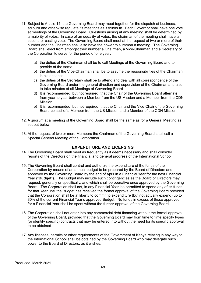- 11. Subject to Article 14, the Governing Board may meet together for the dispatch of business, adjourn and otherwise regulate its meetings as it thinks fit. Each Governor shall have one vote at meetings of the Governing Board. Questions arising at any meeting shall be determined by a majority of votes. In case of an equality of votes, the chairman of the meeting shall have a second or casting vote. The Governing Board shall meet at the request of two or more of their number and the Chairman shall also have the power to summon a meeting. The Governing Board shall elect from amongst their number a Chairman, a Vice-Chairman and a Secretary of the Corporation to serve for the period of one year:
	- a) the duties of the Chairman shall be to call Meetings of the Governing Board and to preside at the same.
	- b) the duties of the Vice-Chairman shall be to assume the responsibilities of the Chairman in his absence.
	- c) the duties of the Secretary shall be to attend and deal with all correspondence of the Governing Board under the general direction and supervision of the Chairman and also to take minutes of all Meetings of Governing Board.
	- d) It is recommended, but not required, that the Chair of the Governing Board alternate from year to year between a Member from the US Mission and a Member from the CDN Mission.
	- e) It is recommended, but not required, that the Chair and the Vice-Chair of the Governing Board consist of a Member from the US Mission and a Member of the CDN Mission.
- 12. A quorum at a meeting of the Governing Board shall be the same as for a General Meeting as set out below.
- 13. At the request of two or more Members the Chairman of the Governing Board shall call a Special General Meeting of the Corporation.

# **EXPENDITURE AND LICENSING**

- 14. The Governing Board shall meet as frequently as it deems necessary and shall consider reports of the Directors on the financial and general progress of the International School.
- 15. The Governing Board shall control and authorize the expenditure of the funds of the Corporation by means of an annual budget to be prepared by the Board of Directors and approved by the Governing Board by the end of April in a Financial Year for the next Financial Year ("**Budget**"). The Budget may include such contingencies as the Board of Directors may request, generally or specifically, and which shall be operative once approved by the Governing Board. The Corporation shall not, in any Financial Year, be permitted to spend any of its funds for that Year until the Budget has received the formal approval of the Governing Board provided that the Corporation shall be at liberty to commit to expenditure (but not actually expend) up to 80% of the current Financial Year's approved Budget. No funds in excess of those approved for a Financial Year shall be spent without the further approval of the Governing Board.
- 16. The Corporation shall not enter into any commercial debt financing without the formal approval of the Governing Board, provided that the Governing Board may from time to time specify types (or identify specific) contracts that may be entered into without the need for its specific approval to be obtained.
- 17. Any licenses, permits or other requirements of the Government of Kenya relating in any way to the International School shall be obtained by the Governing Board who may delegate such power to the Board of Directors, as it wishes.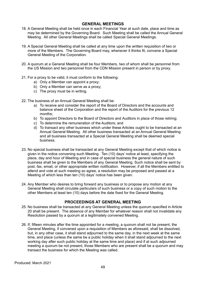# **GENERAL MEETINGS**

- 18. A General Meeting shall be held once in each Financial Year at such date, place and time as may be determined by the Governing Board. Such Meeting shall be called the Annual General Meeting. All other General Meetings shall be called Special General Meetings.
- 19. A Special General Meeting shall be called at any time upon the written requisition of two or more of the Members. The Governing Board may, whenever it thinks fit, convene a Special General Meeting of the Corporation.
- 20. A quorum at a General Meeting shall be four Members, two of whom shall be personnel from the US Mission and two personnel from the CDN Mission present in person or by proxy.
- 21. For a proxy to be valid, it must conform to the following:
	- a) Only a Member can appoint a proxy;
	- b) Only a Member can serve as a proxy;
	- c) The proxy must be in writing.
- 22. The business of an Annual General Meeting shall be:
	- a) To receive and consider the report of the Board of Directors and the accounts and balance sheet of the Corporation and the report of the Auditors for the previous 12 months;
	- b) To appoint Directors to the Board of Directors and Auditors in place of those retiring;
	- c) To determine the remuneration of the Auditors; and
	- d) To transact any other business which under these Articles ought to be transacted at an Annual General Meeting. All other business transacted at an Annual General Meeting and all business transacted at a Special General Meeting shall be deemed special business.
- 23. No special business shall be transacted at any General Meeting except that of which notice is given in the notice convening such Meeting. Ten (10) days' notice at least, specifying the place, day and hour of Meeting and in case of special business the general nature of such business shall be given to the Members of any General Meeting. Such notice shall be sent by post, fax, email, or other appropriate written notification. However, if all the Members entitled to attend and vote at such meeting so agree, a resolution may be proposed and passed at a Meeting of which less than ten (10) days' notice has been given.
- 24. Any Member who desires to bring forward any business or to propose any motion at any General Meeting shall circulate particulars of such business or a copy of such motion to the other Members at least ten (10) days before the date fixed for the General Meeting.

#### **PROCEEDINGS AT GENERAL MEETING**

- 25. No business shall be transacted at any General Meeting unless the quorum specified in Article 20 shall be present. The absence of any Member for whatever reason shall not invalidate any Resolution passed by a quorum at a legitimately convened Meeting.
- 26. If, fifteen minutes after the time appointed for a meeting, a quorum shall not be present, the General Meeting, if convened upon a requisition of Members as aforesaid, shall be dissolved, but, in any other case, it shall stand adjourned to the same day, in the next week at the same time, and place (unless the same be a public holiday when it shall stand adjourned to the next working day after such public holiday at the same time and place) and if at such adjourned meeting a quorum be not present, those Members who are present shall be a quorum and may transact the business for which the Meeting was called.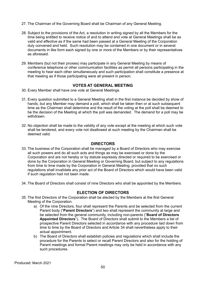- 27. The Chairman of the Governing Board shall be Chairman of any General Meeting.
- 28. Subject to the provisions of the Act, a resolution in writing signed by all the Members for the time being entitled to receive notice of and to attend and vote at General Meetings shall be as valid and effective as if the same had been passed at a General Meeting of the Corporation duly convened and held. Such resolution may be contained in one document or in several documents in like form each signed by one or more of the Members or by their representatives as aforesaid.
- 29. Members (but not their proxies) may participate in any General Meeting by means of conference telephone or other communication facilities as permit all persons participating in the meeting to hear each other simultaneously and such participation shall constitute a presence at that meeting as if those participating were all present in person.

# **VOTES AT GENERAL MEETING**

- 30. Every Member shall have one vote at General Meetings.
- 31. Every question submitted to a General Meeting shall in the first instance be decided by show of hands, but any Member may demand a poll, which shall be taken then or at such subsequent time as the Chairman shall determine and the result of the voting at the poll shall be deemed to be the decision of the Meeting at which the poll was demanded. The demand for a poll may be withdrawn.
- 32. No objection shall be made to the validity of any vote except at the meeting at which such vote shall be tendered, and every vote not disallowed at such meeting by the Chairman shall be deemed valid.

#### **DIRECTORS**

- 33. The business of the Corporation shall be managed by a Board of Directors who may exercise all such powers and do all such acts and things as may be exercised or done by the Corporation and are not hereby or by statute expressly directed or required to be exercised or done by the Corporation in General Meeting or Governing Board, but subject to any regulations from time to time made by the Corporation in General Meeting, provided that no such regulations shall invalidate any prior act of the Board of Directors which would have been valid if such regulation had not been made.
- 34. The Board of Directors shall consist of nine Directors who shall be appointed by the Members.

# **ELECTION OF DIRECTORS**

- 35. The first Directors of the Corporation shall be elected by the Members at the first General Meeting of the Corporation.
	- a) Of the nine Directors, four shall represent the Parents and be selected from the current Parent body ("**Parent Directors**") and two shall represent the community at large and be selected from the general community, including non-parents ("**Board of Directors Appointed Directors**")**.** The Board of Directors shall submit to the Members a list of prospective Parent Directors selected in accordance with any procedure laid down from time to time by the Board of Directors and Article 34 shall nevertheless apply to their actual appointment.
	- b) The Board of Directors shall establish policies and regulations which shall include the procedure for the Parents to select or recall Parent Directors and also for the holding of Parent meetings and formal Parent meetings may only be held in accordance with any such procedures.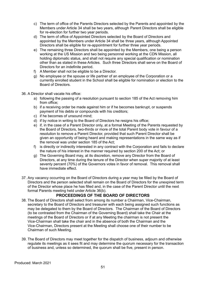- c) The term of office of the Parents Directors selected by the Parents and appointed by the Members under Article 34 shall be two years, although Parent Directors shall be eligible for re-election for further two year periods.
- d) The term of office of Appointed Directors selected by the Board of Directors and appointed by the Members under Article 34 shall be three years, although Appointed Directors shall be eligible for re-appointment for further three year periods.
- e) The remaining three Directors shall be appointed by the Members, one being a person working at the US Mission and two being personnel working at the CDN Mission, all holding diplomatic status, and shall not require any special qualification or nomination other than as stated in these Articles. Such three Directors shall serve on the Board of Directors for an indefinite period.
- f) A Member shall not be eligible to be a Director.
- g) No employee or the spouse or life partner of an employee of the Corporation or a currently enrolled student in the School shall be eligible for nomination or election to the Board of Directors.
- 36. A Director shall vacate his office:
	- a) following the passing of a resolution pursuant to section 185 of the Act removing him from office;
	- b) if a receiving order be made against him or if he becomes bankrupt, or suspends payment of his debts or compounds with his creditors;
	- c) if he becomes of unsound mind;
	- d) if by notice in writing to the Board of Directors he resigns his office;
	- e) if, in the case of a Parent Director only, at a formal Meeting of the Parents requested by the Board of Directors, two-thirds or more of the total Parent body vote in favour of a resolution to remove a Parent Director, provided that such Parent Director shall be given an opportunity of being heard and making representations in the same way as if the removal was under section 185 of the Act;
	- f) is directly or indirectly interested in any contract with the Corporation and fails to declare the nature of his interest in the manner required by section 200 of the Act; or
	- g) The Governing Board may, at its discretion, remove any Director from the Board of Directors, at any time during the tenure of the Director when super majority of at least seventy percent (70%) of the Governors votes in favor of removal. This removal shall have immediate effect.
- 37. Any vacancy occurring on the Board of Directors during a year may be filled by the Board of Directors and the person selected shall remain on the Board of Directors for the unexpired term of the Director whose place he has filled and, in the case of the Parent Director until the next formal Parents meeting held under Article 36(b).

# **PROCEEDINGS OF THE BOARD OF DIRECTORS**

- 38. The Board of Directors shall select from among its number a Chairman, Vice-Chairman, secretary to the Board of Directors and treasurer with each being assigned such functions as may be delegated to them by the Board of Directors. The Chairman of the Board of Directors (to be contrasted from the Chairman of the Governing Board) shall take the Chair at the meetings of the Board of Directors or if at any Meeting the chairman is not present the Vice-Chairman shall take the chair and in the absence of both the Chairman and the Vice-Chairman, Directors present at the Meeting shall choose one of their number to be Chairman of such Meeting.
- 39. The Board of Directors may meet together for the dispatch of business, adjourn and otherwise regulate its meetings as it sees fit and may determine the quorum necessary for the transaction of business and, unless so determined, the quorum shall be five, present in person.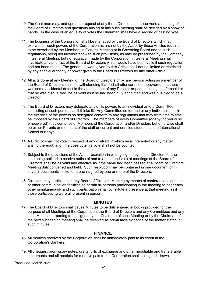- 40. The Chairman may, and upon the request of any three Directors, shall convene a meeting of the Board of Directors and questions arising at any such meeting shall be decided by a show of hands. In the case of an equality of votes the Chairman shall have a second or casting vote.
- 41. The business of the Corporation shall be managed by the Board of Directors which may exercise all such powers of the Corporation as are not by the Act or by these Articles required to be exercised by the Members in General Meeting or in Governing Board and to such regulations, being not inconsistent with such provisions, as may be prescribed by the Company in General Meeting, but no regulation made by the Corporation in General Meeting shall invalidate any prior act of the Board of Directors which would have been valid if such regulation had not been made. The general powers given by this Article shall not be limited or restricted by any special authority or power given to the Board of Directors by any other Article.
- 42. All acts done at any Meeting of the Board of Directors or by any person acting as a member of the Board of Directors shall, notwithstanding that it shall afterwards be discovered that there was some accidental defect in the appointment of any Director or person acting as aforesaid or that he was disqualified, be as valid as if he had been duly appointed and was qualified to be a Director.
- 43. The Board of Directors may delegate any of its powers to an individual or to a Committee consisting of such persons as it thinks fit. Any Committee so formed or any individual shall in the exercise of the powers so delegated conform to any regulations that may from time to time be imposed by the Board of Directors. The members of every Committee (or any individual so empowered) may comprise of Members of the Corporation and/or Directors but otherwise shall be either Parents or members of the staff or current and enrolled students at the International School of Kenya.
- 44. A Director shall not vote in respect of any contract in which he is interested or any matter arising thereout, and if he does vote his vote shall not be counted.
- 45. Subject to the provisions of the Act, a resolution in writing signed by all the Directors for the time being entitled to receive notice of and to attend and vote at meetings of the Board of Directors shall be as valid and effective as if the same had been passed at a Board of Directors Meeting duly convened and held. Such resolution may be contained in one document or in several documents in like form each signed by one or more of the Directors.
- 46. Directors may participate in any Board of Directors Meeting by means of conference telephone or other communication facilities as permit all persons participating in the meeting to hear each other simultaneously and such participation shall constitute a presence at that meeting as if those participating were all present in person.

#### **MINUTES**

47. The Board of Directors shall cause Minutes to be duly entered in books provided for the purpose of all Meetings of the Corporation, the Board of Directors and any Committees and any such Minutes purporting to be signed by the Chairman of such Meeting or by the Chairman of the next succeeding meeting shall be received as prima facie evidence of the matter stated in such minutes.

#### **FINANCE**

- 48. All moneys received by the Corporation shall be immediately paid to its credit at the Corporation's Bankers.
- 49. All cheques, promissory notes, drafts, bills of exchange and other negotiable and transferable instruments and all receipts for moneys paid to the Corporation shall be signed, drawn,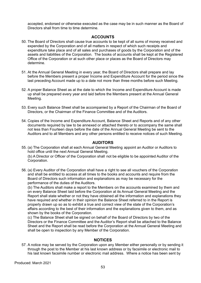accepted, endorsed or otherwise executed as the case may be in such manner as the Board of Directors shall from time to time determine.

#### **ACCOUNTS**

- 50. The Board of Directors shall cause true accounts to be kept of all sums of money received and expended by the Corporation and of all matters in respect of which such receipts and expenditure take place and of all sales and purchases of goods by the Corporation and of the assets and liabilities of the Corporation. The books of accounts shall be kept at the Registered Office of the Corporation or at such other place or places as the Board of Directors may determine.
- 51. At the Annual General Meeting in every year, the Board of Directors shall prepare and lay before the Members present a proper Income and Expenditure Account for the period since the last preceding Account made up to a date not more than three months before such Meeting.
- 52. A proper Balance Sheet as at the date to which the Income and Expenditure Account is made up shall be prepared every year and laid before the Members present at the Annual General Meeting.
- 53. Every such Balance Sheet shall be accompanied by a Report of the Chairman of the Board of Directors, or the Chairman of the Finance Committee and of the Auditors.
- 54. Copies of the Income and Expenditure Account, Balance Sheet and Reports and of any other documents required by law to be annexed or attached thereto or to accompany the same shall not less than Fourteen days before the date of the Annual General Meeting be sent to the Auditors and to all Members and any other persons entitled to receive notices of such Meeting.

#### **AUDITORS**

55. (a) The Corporation shall at each Annual General Meeting appoint an Auditor or Auditors to hold office until the next Annual General Meeting.

(b) A Director or Officer of the Corporation shall not be eligible to be appointed Auditor of the Corporation.

56. (a) Every Auditor of the Corporation shall have a right to see all vouchers of the Corporation and shall be entitled to access at all times to the books and accounts and require from the Board of Directors such information and explanations as may be necessary for the performance of the duties of the Auditors.

(b) The Auditors shall make a report to the Members on the accounts examined by them and on every Balance Sheet laid before the Corporation at its Annual General Meeting and the Report shall state whether or not they have obtained all the information and explanations they have required and whether in their opinion the Balance Sheet referred to in the Report is properly drawn up so as to exhibit a true and correct view of the state of the Corporation's affairs according to the best of their information and the explanations given to them, and as shown by the books of the Corporation.

(c) The Balance Sheet shall be signed on behalf of the Board of Directors by two of the Directors or the Finance Committee and the Auditor's Report shall be attached to the Balance Sheet and the Report shall be read before the Corporation at the Annual General Meeting and shall be open to inspection by any Member of the Corporation.

#### **NOTICES**

57. A notice may be served by the Corporation upon any Member either personally or by sending it through the post to the Member at his last known address or by facsimile or electronic mail to his last known facsimile number or electronic mail address. Where a notice has been sent by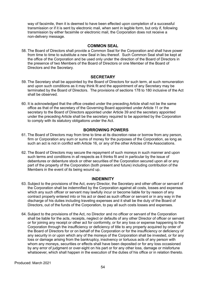way of facsimile, then it is deemed to have been effected upon completion of a successful transmission or if it is sent by electronic mail, when sent in legible form, but only if, following transmission by either facsimile or electronic mail, the Corporation does not receive a non-delivery message.

# **COMMON SEAL**

58. The Board of Directors shall provide a Common Seal for the Corporation and shall have power from time to time to substitute a new Seal in lieu thereof. Such Common Seal shall be kept at the office of the Corporation and be used only under the direction of the Board of Directors in the presence of two Members of the Board of Directors or one Member of the Board of Directors and the Secretary.

# **SECRETARY**

- 59. The Secretary shall be appointed by the Board of Directors for such term, at such remuneration and upon such conditions as it may think fit and the appointment of any Secretary may be terminated by the Board of Directors. The provisions of sections 178 to 180 inclusive of the Act shall be observed.
- 60. It is acknowledged that the office created under the preceding Article shall not be the same office as that of the secretary of the Governing Board appointed under Article 11 or the secretary to the Board of Directors appointed under Article 39 and the secretary appointed under the preceding Article shall be the secretary required to be appointed by the Corporation to comply with its statutory obligations under the Act.

# **BORROWING POWERS**

- 61. The Board of Directors may from time to time at its discretion raise or borrow from any person, firm or Corporation any sum or sums of money for the purposes of the Corporation, as long as such an act is not in conflict with Article 16, or any of the other Articles of the Associations.
- 62. The Board of Directors may secure the repayment of such moneys in such manner and upon such terms and conditions in all respects as it thinks fit and in particular by the issue of debentures or debenture stock or other securities of the Corporation secured upon all or any part of the property of the Corporation (both present and future) including contribution of the Members in the event of its being wound up.

#### **INDEMNITY**

- 63. Subject to the provisions of the Act, every Director, the Secretary and other officer or servant of the Corporation shall be indemnified by the Corporation against all costs, losses and expenses which any such officer or servant may lawfully incur or become liable for by reason of any contract properly entered into or his act or deed as such officer or servant or in any way in the discharge of his duties including traveling expenses and it shall be the duty of the Board of Directors, out of the funds of the Corporation, to pay all such costs losses and expenses.
- 64. Subject to the provisions of the Act, no Director and no officer or servant of the Corporation shall be liable for the acts, receipts, neglect or defaults of any other Director of officer or servant or for joining any receipt or other act for conformity, or for any loss or expense happening to the Corporation through the insufficiency or deficiency of title to any property acquired by order of the Board of Directors for or on behalf of the Corporation or for the insufficiency or deficiency of any security in or upon which any of the moneys of the Corporation shall be invested, or for any loss or damage arising from the bankruptcy, insolvency or tortuous acts of any person with whom any moneys, securities or effects shall have been deposited or for any loss occasioned by any error of judgment or over-sight on his part or for any other loss, damage or misfortune whatsoever, which shall happen in the execution of the duties of his office or in relation thereto.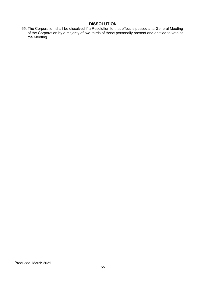# **DISSOLUTION**

65. The Corporation shall be dissolved if a Resolution to that effect is passed at a General Meeting of the Corporation by a majority of two-thirds of those personally present and entitled to vote at the Meeting.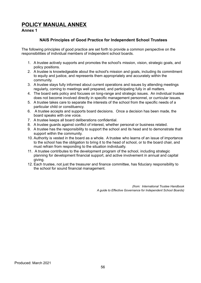# <span id="page-57-0"></span>**POLICY MANUAL ANNEX**

# **Annex 1**

# **NAIS Principles of Good Practice for Independent School Trustees**

The following principles of good practice are set forth to provide a common perspective on the responsibilities of individual members of independent school boards.

- 1. A trustee actively supports and promotes the school's mission, vision, strategic goals, and policy positions.
- 2. A trustee is knowledgeable about the school's mission and goals, including its commitment to equity and justice, and represents them appropriately and accurately within the community.
- 3. A trustee stays fully informed about current operations and issues by attending meetings regularly, coming to meetings well prepared, and participating fully in all matters.
- 4. The board sets policy and focuses on long-range and strategic issues. An individual trustee does not become involved directly in specific management personnel, or curricular issues.
- 5. A trustee takes care to separate the interests of the school from the specific needs of a particular child or constituency.
- 6. A trustee accepts and supports board decisions. Once a decision has been made, the board speaks with one voice.
- 7. A trustee keeps all board deliberations confidential.
- 8. A trustee guards against conflict of interest, whether personal or business related.
- 9. A trustee has the responsibility to support the school and its head and to demonstrate that support within the community.
- 10. Authority is vested in the board as a whole. A trustee who learns of an issue of importance to the school has the obligation to bring it to the head of school, or to the board chair, and must refrain from responding to the situation individually.
- 11. A trustee contributes to the development program of the school, including strategic planning for development financial support, and active involvement in annual and capital giving.
- 12. Each trustee, not just the treasurer and finance committee, has fiduciary responsibility to the school for sound financial management.

*(from: International Trustee Handbook A guide to Effective Governance for Independent School Boards)*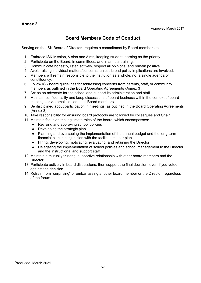# <span id="page-58-0"></span>**Annex 2**

# **Board Members Code of Conduct**

Serving on the ISK Board of Directors requires a commitment by Board members to:

- 1. Embrace ISK Mission, Vision and Aims, keeping student learning as the priority.
- 2. Participate on the Board, in committees, and in annual training.
- 3. Communicate honestly, listen actively, respect all opinions, and remain positive.
- 4. Avoid raising individual matters/concerns, unless broad policy implications are involved.
- 5. Members will remain responsible to the institution as a whole, not a single agenda or constituency.
- 6. Follow ISK board guidelines for addressing concerns from parents, staff, or community members as outlined in the Board Operating Agreements (Annex 3).
- 7. Act as an advocate for the school and support its administration and staff.
- 8. Maintain confidentiality and keep discussions of board business within the context of board meetings or via email copied to all Board members.
- 9. Be disciplined about participation in meetings, as outlined in the Board Operating Agreements (Annex 3).
- 10. Take responsibility for ensuring board protocols are followed by colleagues and Chair.
- 11. Maintain focus on the legitimate roles of the board, which encompasses:
	- Revising and approving school policies
	- Developing the strategic plan
	- Planning and overseeing the implementation of the annual budget and the long-term financial plan in conjunction with the facilities master plan
	- Hiring, developing, motivating, evaluating, and retaining the Director
	- Delegating the implementation of school policies and school management to the Director and the instructional and support staff
- 12. Maintain a mutually trusting, supportive relationship with other board members and the Director.
- 13. Participate actively in board discussions, then support the final decision, even if you voted against the decision.
- 14. Refrain from "surprising" or embarrassing another board member or the Director, regardless of the forum.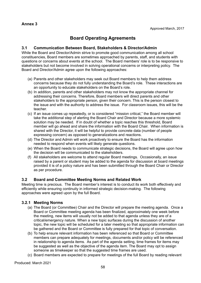# **Board Operating Agreements**

# <span id="page-59-0"></span>**3.1 Communication Between Board, Stakeholders & Director/Admin**

While the Board and Director/Admin strive to promote good communication among all school constituencies, Board members are sometimes approached by parents, staff, and students with questions or concerns about events at the school. The Board members' role is to be responsive to stakeholders but not become involved in solving operational concerns or interpreting policy. The Board and Director/Admin agree upon the following approaches:

- (a) Parents and other stakeholders may seek out Board members to help them address concerns because they do not fully understanding the Board's role. These interactions are an opportunity to educate stakeholders on the Board's role.
- (b) In addition, parents and other stakeholders may not know the appropriate channel for addressing their concerns. Therefore, Board members will direct parents and other stakeholders to the appropriate person, given their concern. This is the person closest to the issue and with the authority to address the issue. For classroom issues, this will be the teacher.
- (c) If an issue comes up repeatedly, or is considered "mission critical," the Board member will take the additional step of alerting the Board Chair and Director because a more systemic solution may be needed. If in doubt of whether a topic reaches this threshold, Board member will go ahead and share the information with the Board Chair. When information is shared with the Director, it will be helpful to provide concrete data (number of people expressing concern) as opposed to generalizations and reactions.
- (d) The Director and Admin will work proactively to ensure the Board has the information needed to respond when events will likely generate questions.
- (e) When the Board needs to communicate strategic decisions, the Board will agree upon how the decision will be communicated to the stakeholders.
- (f) All stakeholders are welcome to attend regular Board meetings. Occasionally, an issue raised by a parent or student may be added to the agenda for discussion at board meetings provided it is of a policy nature and has been submitted through the Board Chair or Director as per procedure.

# **3.2 Board and Committee Meeting Norms and Related Work**

Meeting time is precious. The Board member's interest is to conduct its work both effectively and efficiently while ensuring continuity in informed strategic decision-making. The following approaches were agreed upon by the full Board.

# **3.2.1 Meeting Norms**

- (a) The Board (or Committee) Chair and the Director will prepare the meeting agenda. Once a Board or Committee meeting agenda has been finalized, approximately one week before the meeting, new items will usually not be added to that agenda unless they are of a critical/emergency nature. When a new topic surfaces during the discussion of another topic, the new topic will be scheduled for a later meeting so that appropriate information can be gathered and the Board or Committee is fully prepared for that topic of conversation.
- (b) To help ensure relevant information has been referenced so that Board or Committee members can prepare adequately for meetings, documents and/or policy will be referenced in relationship to agenda items. As part of the agenda setting, time frames for items may be suggested as well as the objective of the agenda item. The Board may opt to assign someone as timekeeper so that the suggested time frames are used.
- (c) Board members are expected to prepare for meetings of the full Board by reading relevant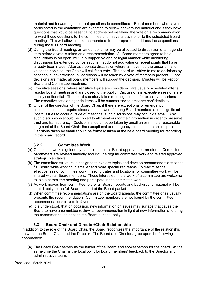material and forwarding important questions to committees. Board members who have not participated in the committee are expected to review background material and if they have questions that would be essential to address before taking the vote on a recommendation, forward those questions to the committee chair several days prior to the scheduled Board meeting. This will allow committee members to be prepared to address those questions during the full Board meeting.

- (d) During the Board meeting, an amount of time may be allocated to discussion of an agenda item before a vote is taken on a recommendation. All Board members agree to hold discussions in an open, mutually supportive and collegial manner while monitoring discussions for extended conversations that do not add value or repeat points that have already been made. After appropriate discussion where all have had the opportunity to voice their opinion, the Chair will call for a vote. The board will strive to make decisions by consensus; nevertheless, all decisions will be taken by a vote of members present. Once decisions are made, all board members will support the decision. Minutes will be kept of Board and Committee meetings.
- (e) Executive sessions, where sensitive topics are considered, are usually scheduled after a regular board meeting and are closed to the public. Discussions in executive sessions are strictly confidential. The board secretary takes meeting minutes for executive sessions. The executive session agenda items will be summarized to preserve confidentiality.
- (f) Under of the direction of the Board Chair, if there are exceptional or emergency circumstances that require discussions between/among Board members about significant Board issues to occur outside of meetings, such discussions may occur via email. Any such discussions should be copied to all members for their information in order to preserve trust and transparency. Decisions should not be taken by email unless, in the reasonable judgment of the Board Chair, the exceptional or emergency circumstances so require. Decisions taken by email should be formally taken at the next board meeting for recording in the board record.

# **3.2.2 Committee Work**

- (a) Committee work is guided by each committee's Board approved parameters. Committee parameters are revised annually and include regular committee work and related approved strategic plan tasks.
- (b) The committee structure is designed to explore topics and develop recommendations to the full Board while working in smaller and more specialized teams. To maximize the effectiveness of committee work, meeting dates and locations for committee work will be shared with all Board members. Those interested in the work of a committee are welcome to join a committee meeting and participate in the committee work.
- (c) As work moves from committee to the full Board, reports and background material will be sent directly to the full Board as part of the Board packet.
- (d) When committee recommendations are on the Board agenda, the committee chair usually presents the recommendation. Committee members are not bound by the committee recommendations to vote in favor.
- (e) It is understood, that on occasion, new information or issues may surface that cause the Board to have a committee review its recommendation in light of new information and bring the recommendation back to the Board subsequently.

# **3.3 Board Chair and Director/Chair Relationship**

In addition to the role of the Board Chair, the Board recognizes the importance of the relationship between the Board Chair and the Director. The Board and Director agree upon the following approaches:

(a) The Board Chair serves as the leader of the Board and spokesperson for the board. At the same time the Chair is the focal point for board members' feedback to the Director and administrative team.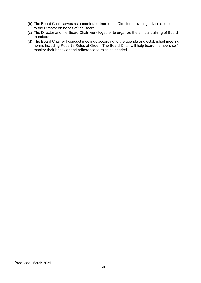- (b) The Board Chair serves as a mentor/partner to the Director, providing advice and counsel to the Director on behalf of the Board.
- (c) The Director and the Board Chair work together to organize the annual training of Board members.
- (d) The Board Chair will conduct meetings according to the agenda and established meeting norms including Robert's Rules of Order. The Board Chair will help board members self monitor their behavior and adherence to roles as needed.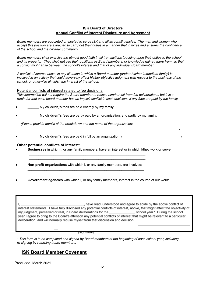#### **ISK Board of Directors Annual Conflict of Interest Disclosure and Agreement**

*Board members are appointed or elected to serve ISK and all its constituencies. The men and women who accept this position are expected to carry out their duties in a manner that inspires and ensures the confidence of the school and the broader community.*

*Board members shall exercise the utmost good faith in all transactions touching upon their duties to the school and its property. They shall not use their positions as Board members, or knowledge gained there from, so that a conflict might arise between the school's interest and that of any individual Board member.*

*A conflict of interest arises in any situation in which a Board member (and/or his/her immediate family) is involved in an activity that could adversely affect his/her objective judgment with respect to the business of the school, or otherwise diminish the interest of the school.*

#### Potential conflicts of interest related to fee decisions:

*This information will not require the Board member to recuse him/herself from fee deliberations, but it is a reminder that each board member has an implicit conflict in such decisions if any fees are paid by the family.*

- My child(ren)'s fees are paid entirely by my family.
- **●** \_\_\_\_\_\_ My child(ren)'s fees are partly paid by an organization, and partly by my family.

*(Please provide details of the breakdown and the name of the organization:*

My child(ren)'s fees are paid in full by an organization: ( \_\_\_\_\_\_\_\_\_\_\_\_\_\_\_\_\_\_\_\_\_

*\_\_\_\_\_\_\_\_\_\_\_\_\_\_\_\_\_\_\_\_\_\_\_\_\_\_\_\_\_\_\_\_\_\_\_\_\_\_\_\_\_\_\_\_\_\_\_\_\_\_\_\_\_\_\_\_\_\_\_\_\_\_\_\_\_\_\_\_\_\_\_\_\_\_\_\_\_\_\_\_\_\_\_\_\_\_)*

#### **Other potential conflicts of interest:**

**Businesses** in which I, or any family members, have an interest or in which I/they work or serve:

\_\_\_\_\_\_\_\_\_\_\_\_\_\_\_\_\_\_\_\_\_\_\_\_\_\_\_\_\_\_\_\_\_\_\_\_\_\_\_\_\_\_\_\_\_\_\_\_\_\_\_\_\_\_\_\_\_\_\_\_\_\_ \_\_\_\_\_\_\_\_\_\_\_\_\_\_\_\_\_\_\_\_\_\_\_\_\_\_\_\_\_\_\_\_\_\_\_\_\_\_\_\_\_\_\_\_\_\_\_\_\_\_\_\_\_\_\_\_\_\_\_\_\_\_

\_\_\_\_\_\_\_\_\_\_\_\_\_\_\_\_\_\_\_\_\_\_\_\_\_\_\_\_\_\_\_\_\_\_\_\_\_\_\_\_\_\_\_\_\_\_\_\_\_\_\_\_\_\_\_\_\_\_\_\_\_\_ \_\_\_\_\_\_\_\_\_\_\_\_\_\_\_\_\_\_\_\_\_\_\_\_\_\_\_\_\_\_\_\_\_\_\_\_\_\_\_\_\_\_\_\_\_\_\_\_\_\_\_\_\_\_\_\_\_\_\_\_\_\_

\_\_\_\_\_\_\_\_\_\_\_\_\_\_\_\_\_\_\_\_\_\_\_\_\_\_\_\_\_\_\_\_\_\_\_\_\_\_\_\_\_\_\_\_\_\_\_\_\_\_\_\_\_\_\_\_\_\_\_\_\_\_ \_\_\_\_\_\_\_\_\_\_\_\_\_\_\_\_\_\_\_\_\_\_\_\_\_\_\_\_\_\_\_\_\_\_\_\_\_\_\_\_\_\_\_\_\_\_\_\_\_\_\_\_\_\_\_\_\_\_\_\_\_\_

- **Non-profit organizations** with which I, or any family members, are involved:
- **Government agencies** with which I, or any family members, interact in the course of our work:

, have read, understood and agree to abide by the above conflict of interest statements. I have fully disclosed any potential conflicts of interest, above, that might affect the objectivity of my judgment, perceived or real, in Board deliberations for the \_\_\_\_\_\_\_\_\_\_\_\_\_\_\_\_\_ school year.\* During the school year I agree to bring to the Board's attention any potential conflicts of interest that might be relevant to a particular deliberation, and will normally recuse myself from that discussion and decision.

#### (signature)

*\* This form is to be completed and signed by Board members at the beginning of each school year, including re-signing by returning board members.*

# **ISK Board Member Covenant**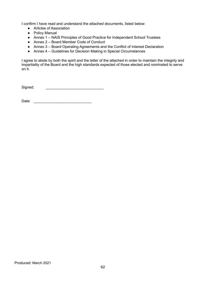I confirm I have read and understand the attached documents, listed below:

- Articles of Association
- Policy Manual
- Annex 1 NAIS Principles of Good Practice for Independent School Trustees
- Annex 2 Board Member Code of Conduct
- Annex 3 Board Operating Agreements and the Conflict of Interest Declaration
- Annex 4 Guidelines for Decision Making in Special Circumstances

I agree to abide by both the spirit and the letter of the attached in order to maintain the integrity and impartiality of the Board and the high standards expected of those elected and nominated to serve on it.

Signed:

Date:  $\Box$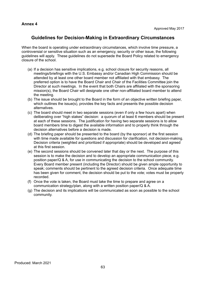# <span id="page-64-0"></span>**Guidelines for Decision-Making in Extraordinary Circumstances**

When the board is operating under extraordinary circumstances, which involve time pressure, a controversial or sensitive situation such as an emergency, security or other issue, the following guidelines will apply. These guidelines do not supersede the Board Policy related to emergency closure of the school.

- (a) If a decision has sensitive implications, e.g. school closure for security reasons, all meetings/briefings with the U.S. Embassy and/or Canadian High Commission should be attended by at least one other board member not affiliated with that embassy. The preferred option is to have the Board Chair and Chair of the Facilities Committee join the Director at such meetings. In the event that both Chairs are affiliated with the sponsoring mission(s), the Board Chair will designate one other non-affiliated board member to attend the meeting.
- (b) The issue should be brought to the Board in the form of an objective written briefing paper, which outlines the issue(s), provides the key facts and presents the possible decision alternatives.
- (c) The board should meet in two separate sessions (even if only a few hours apart) when deliberating over "high stakes" decision: a quorum of at least 6 members should be present at each of these sessions. The justification for having two separate sessions is to allow board members time to digest the available information and to properly think through the decision alternatives before a decision is made.
- (d) The briefing paper should be presented to the board (by the sponsor) at the first session with time made available for questions and discussion for clarification, not decision-making. Decision criteria (weighted and prioritized if appropriate) should be developed and agreed at this first session.
- (e) The second sessions should be convened later that day or the next. The purpose of this session is to make the decision and to develop an appropriate communication piece, e.g. position paper/Q & A, for use in communicating the decision to the school community. Every Board member present (including the Director) should be given ample opportunity to speak; comments should be pertinent to the agreed decision criteria. Once adequate time has been given for comment, the decision should be put to the vote; votes must be properly recorded.
- (f) Once the vote is taken, the Board must take the time to prepare and agree on a communication strategy/plan, along with a written position paper/Q & A.
- (g) The decision and its implications will be communicated as soon as possible to the school community.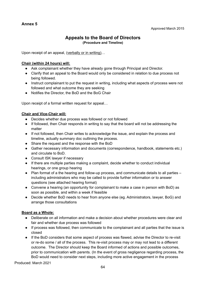# **Appeals to the Board of Directors**

**(Procedure and Timeline)**

<span id="page-65-0"></span>Upon receipt of an appeal, (verbally or in writing)...

# **Chair (within 24 hours) will:**

- Ask complainant whether they have already gone through Principal and Director.
- Clarify that an appeal to the Board would only be considered in relation to due process not being followed.
- Instruct complainant to put the request in writing, including what aspects of process were not followed and what outcome they are seeking
- Notifies the Director, the BoD and the BoG Chair

Upon receipt of a formal written request for appeal…

# **Chair and Vice-Chair will:**

- Decides whether due process was followed or not followed
- If followed, then Chair responds in writing to say that the board will not be addressing the matter
- If not followed, then Chair writes to acknowledge the issue, and explain the process and timeline, actually summary doc outlining the process.
- Share the request and the response with the BoD
- Gather necessary information and documents (correspondence, handbook, statements etc.) and circulate to BoD.
- Consult ISK lawyer if necessary
- If there are multiple parties making a complaint, decide whether to conduct individual hearings, or one group hearing
- Plan format of a the hearing and follow-up process, and communicate details to all parties including administrators who may be called to provide further information or to answer questions (see attached hearing format)
- Convene a hearing (an opportunity for complainant to make a case in person with BoD) as soon as possible, and within a week if feasible
- Decide whether BoD needs to hear from anyone else (eg. Administrators, lawyer, BoG) and arrange those consultations

# **Board as a Whole:**

- Deliberate on all information and make a decision about whether procedures were clear and fair and whether due process was followed
- If process was followed, then communicate to the complainant and all parties that the issue is closed
- If the BoD considers that some aspect of process was flawed, advise the Director to re-visit or re-do some / all of the process. This re-visit process may or may not lead to a different outcome. The Director should keep the Board informed of actions and possible outcomes, prior to communication with parents. (In the event of gross negligence regarding process, the BoD would need to consider next steps, including more active engagement in the process